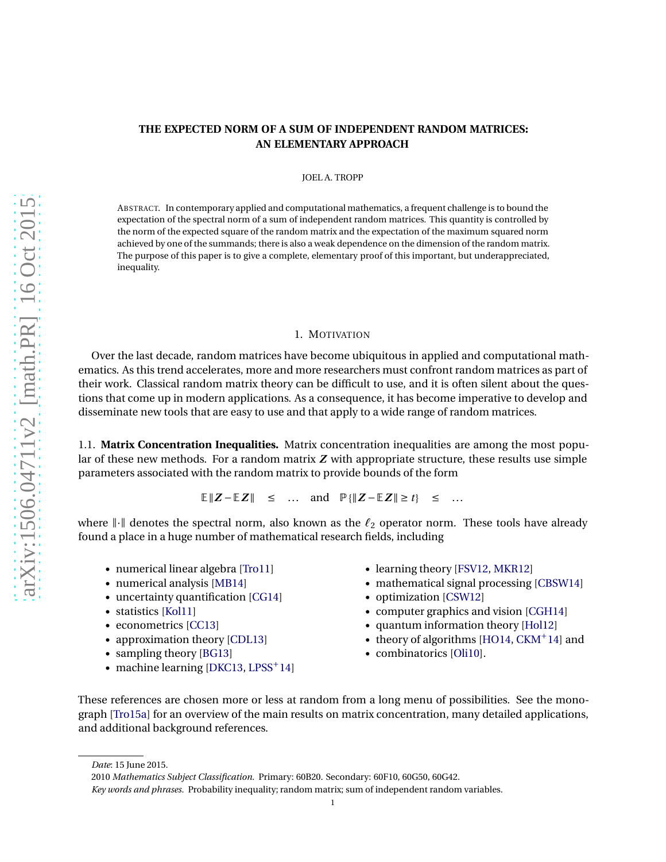# **THE EXPECTED NORM OF A SUM OF INDEPENDENT RANDOM MATRICES: AN ELEMENTARY APPROACH**

### JOEL A. TROPP

ABSTRACT. In contemporary applied and computational mathematics, a frequent challenge is to bound the expectation of the spectral norm of a sum of independent random matrices. This quantity is controlled by the norm of the expected square of the random matrix and the expectation of the maximum squared norm achieved by one of the summands; there is also a weak dependence on the dimension of the random matrix. The purpose of this paper is to give a complete, elementary proof of this important, but underappreciated, inequality.

### 1. MOTIVATION

Over the last decade, random matrices have become ubiquitous in applied and computational mathematics. As this trend accelerates, more and more researchers must confront random matrices as part of their work. Classical random matrix theory can be difficult to use, and it is often silent about the questions that come up in modern applications. As a consequence, it has become imperative to develop and disseminate new tools that are easy to use and that apply to a wide range of random matrices.

1.1. **Matrix Concentration Inequalities.** Matrix concentration inequalities are among the most popular of these new methods. For a random matrix *Z* with appropriate structure, these results use simple parameters associated with the random matrix to provide bounds of the form

E $\|Z - EZ\|$  ≤ ... and  $\mathbb{P}\{\|Z - EZ\| \ge t\}$  ≤ ...

where  $\|\cdot\|$  denotes the spectral norm, also known as the  $\ell_2$  operator norm. These tools have already found a place in a huge number of mathematical research fields, including

- numerical linear algebra [\[Tro11\]](#page-22-0)
- numerical analysis [\[MB14\]](#page-21-0)
- uncertainty quantification [\[CG14\]](#page-20-0)
- statistics [\[Kol11\]](#page-21-1)
- econometrics [\[CC13\]](#page-20-1)
- approximation theory [\[CDL13\]](#page-20-2)
- sampling theory [\[BG13\]](#page-20-3)
- machine learning [\[DKC13,](#page-21-2) [LPSS](#page-21-3)<sup>+</sup>14]
- learning theory [\[FSV12,](#page-21-4) [MKR12\]](#page-21-5)
- mathematical signal processing [\[CBSW14\]](#page-20-4)
- optimization [\[CSW12\]](#page-21-6)
- computer graphics and vision [\[CGH14\]](#page-20-5)
- quantum information theory [\[Hol12\]](#page-21-7)
- theory of algorithms [\[HO14,](#page-21-8) [CKM](#page-21-9)<sup>+</sup>14] and
- combinatorics [\[Oli10\]](#page-21-10).

These references are chosen more or less at random from a long menu of possibilities. See the monograph [\[Tro15a\]](#page-22-1) for an overview of the main results on matrix concentration, many detailed applications, and additional background references.

*Date*: 15 June 2015.

<sup>2010</sup> *Mathematics Subject Classification.* Primary: 60B20. Secondary: 60F10, 60G50, 60G42. *Key words and phrases.* Probability inequality; random matrix; sum of independent random variables.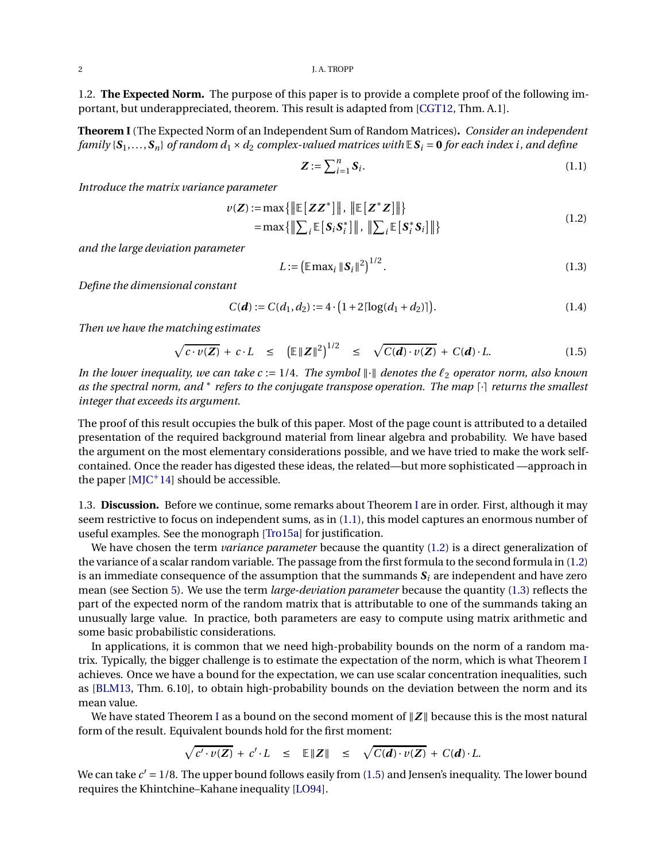1.2. **The Expected Norm.** The purpose of this paper is to provide a complete proof of the following important, but underappreciated, theorem. This result is adapted from [\[CGT12,](#page-21-11) Thm. A.1].

<span id="page-1-0"></span>**Theorem I**(The Expected Norm of an Independent Sum of Random Matrices)**.** *Consider an independent family*  $\{S_1, \ldots, S_n\}$  *of random*  $d_1 \times d_2$  *complex-valued matrices with*  $\mathbb{E} S_i = 0$  *for each index i, and define* 

<span id="page-1-3"></span><span id="page-1-2"></span><span id="page-1-1"></span>
$$
Z := \sum_{i=1}^{n} S_i. \tag{1.1}
$$

*Introduce the matrix variance parameter*

$$
\nu(\mathbf{Z}) := \max \{ \|\mathbb{E}[\mathbf{Z}\mathbf{Z}^*]\|, \|\mathbb{E}[\mathbf{Z}^*\mathbf{Z}]\| \} = \max \{ \|\sum_i \mathbb{E}[\mathbf{S}_i\mathbf{S}_i^*\|], \|\sum_i \mathbb{E}[\mathbf{S}_i^*\mathbf{S}_i]\| \}
$$
(1.2)

*and the large deviation parameter*

<span id="page-1-5"></span><span id="page-1-4"></span>
$$
L := \left( \mathbb{E} \max_{i} \left\| \mathbf{S}_{i} \right\|^{2} \right)^{1/2}.
$$
 (1.3)

*Define the dimensional constant*

$$
C(\boldsymbol{d}) := C(d_1, d_2) := 4 \cdot \big( 1 + 2 \lceil \log(d_1 + d_2) \rceil \big). \tag{1.4}
$$

*Then we have the matching estimates*

$$
\sqrt{c \cdot v(Z)} + c \cdot L \leq (\mathbb{E} ||Z||^2)^{1/2} \leq \sqrt{C(d) \cdot v(Z)} + C(d) \cdot L. \tag{1.5}
$$

*In the lower inequality, we can take c* := 1/4*. The symbol*  $\|·\|$  *denotes the*  $\ell_2$  *operator norm, also known as the spectral norm, and* ∗ *refers to the conjugate transpose operation. The map* ⌈·⌉ *returns the smallest integer that exceeds its argument.*

The proof of this result occupies the bulk of this paper. Most of the page count is attributed to a detailed presentation of the required background material from linear algebra and probability. We have based the argument on the most elementary considerations possible, and we have tried to make the work selfcontained. Once the reader has digested these ideas, the related—but more sophisticated —approach in the paper  $[M]C^+14]$  should be accessible.

1.3. **Discussion.** Before we continue, some remarks about Theorem [I](#page-1-0) are in order. First, although it may seem restrictive to focus on independent sums, as in [\(1.1\)](#page-1-1), this model captures an enormous number of useful examples. See the monograph [\[Tro15a\]](#page-22-1) for justification.

We have chosen the term *variance parameter* because the quantity [\(1.2\)](#page-1-2) is a direct generalization of the variance of a scalar random variable. The passage from the first formula to the second formula in [\(1.2\)](#page-1-2) is an immediate consequence of the assumption that the summands  $S_i$  are independent and have zero mean (see Section [5\)](#page-13-0). We use the term *large-deviation parameter* because the quantity [\(1.3\)](#page-1-3) reflects the part of the expected norm of the random matrix that is attributable to one of the summands taking an unusually large value. In practice, both parameters are easy to compute using matrix arithmetic and some basic probabilistic considerations.

In applications, it is common that we need high-probability bounds on the norm of a random matrix. Typically, the bigger challenge is to estimate the expectation of the norm, which is what Theorem [I](#page-1-0) achieves. Once we have a bound for the expectation, we can use scalar concentration inequalities, such as [\[BLM13,](#page-20-6) Thm. 6.10], to obtain high-probability bounds on the deviation between the norm and its mean value.

We have stated Theorem [I](#page-1-0) as a bound on the second moment of  $\|Z\|$  because this is the most natural form of the result. Equivalent bounds hold for the first moment:

$$
\sqrt{c'\cdot v(Z)} + c'\cdot L \leq \mathbb{E}\|Z\| \leq \sqrt{C(d)\cdot v(Z)} + C(d)\cdot L.
$$

We can take  $c' = 1/8$ . The upper bound follows easily from [\(1.5\)](#page-1-4) and Jensen's inequality. The lower bound requires the Khintchine–Kahane inequality [\[LO94\]](#page-21-13).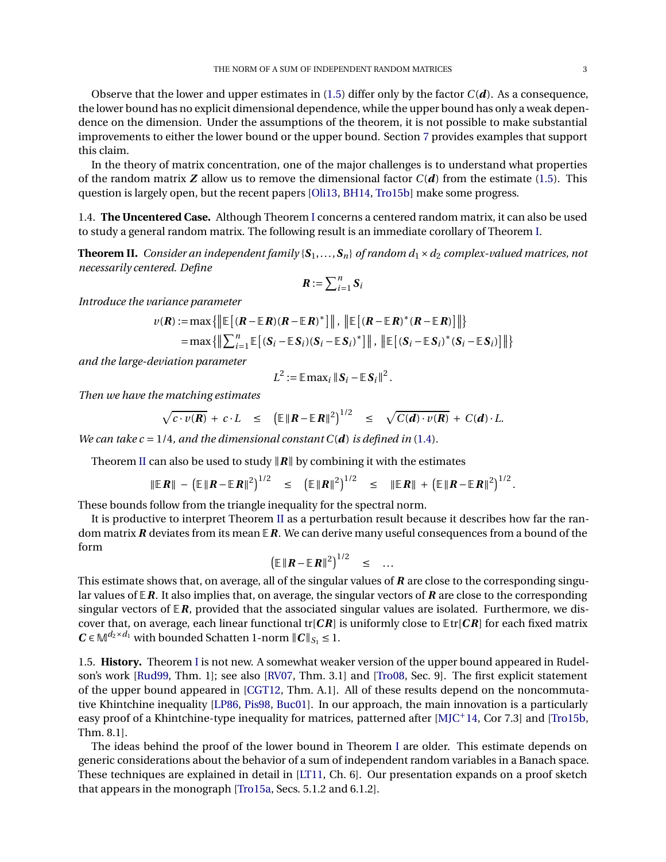Observe that the lower and upper estimates in [\(1.5\)](#page-1-4) differ only by the factor  $C(\boldsymbol{d})$ . As a consequence, the lower bound has no explicit dimensional dependence, while the upper bound has only a weak dependence on the dimension. Under the assumptions of the theorem, it is not possible to make substantial improvements to either the lower bound or the upper bound. Section [7](#page-18-0) provides examples that support this claim.

In the theory of matrix concentration, one of the major challenges is to understand what properties of the random matrix  $Z$  allow us to remove the dimensional factor  $C(d)$  from the estimate [\(1.5\)](#page-1-4). This question is largely open, but the recent papers [\[Oli13,](#page-21-14) [BH14,](#page-20-7) [Tro15b\]](#page-22-2) make some progress.

1.4. **The Uncentered Case.** Although Theorem [I](#page-1-0) concerns a centered random matrix, it can also be used to study a general random matrix. The following result is an immediate corollary of Theorem [I.](#page-1-0)

<span id="page-2-0"></span>**Theorem II.** *Consider an independent family* { $S_1$ ,..., $S_n$ } *of random d*<sub>1</sub> × *d*<sub>2</sub> *complex-valued matrices, not necessarily centered. Define*

$$
\boldsymbol{R} := \sum_{i=1}^n \boldsymbol{S}_i
$$

*Introduce the variance parameter*

$$
\nu(\mathbf{R}) := \max \{ \|\mathbb{E}\left[ (\mathbf{R} - \mathbb{E}\mathbf{R})(\mathbf{R} - \mathbb{E}\mathbf{R})^* \right] \|, \|\mathbb{E}\left[ (\mathbf{R} - \mathbb{E}\mathbf{R})^* (\mathbf{R} - \mathbb{E}\mathbf{R}) \right] \| \}
$$
  
=  $\max \{ \|\sum_{i=1}^n \mathbb{E}\left[ (\mathbf{S}_i - \mathbb{E}\mathbf{S}_i)(\mathbf{S}_i - \mathbb{E}\mathbf{S}_i)^* \right] \|, \|\mathbb{E}\left[ (\mathbf{S}_i - \mathbb{E}\mathbf{S}_i)^* (\mathbf{S}_i - \mathbb{E}\mathbf{S}_i) \right] \| \}$ 

*and the large-deviation parameter*

$$
L^2 := \mathbb{E} \max_i \|S_i - \mathbb{E} S_i\|^2.
$$

*Then we have the matching estimates*

$$
\sqrt{c \cdot v(R)} + c \cdot L \leq (\mathbb{E} \|R - \mathbb{E}R\|^2)^{1/2} \leq \sqrt{C(d) \cdot v(R)} + C(d) \cdot L.
$$

*We can take c* = 1/4, and the dimensional constant  $C(d)$  is defined in [\(1.4\)](#page-1-5).

Theorem [II](#page-2-0) can also be used to study  $\|R\|$  by combining it with the estimates

$$
\|\mathbb{E}\,R\| - \left(\mathbb{E}\,\|R - \mathbb{E}\,R\|^2\right)^{1/2} \leq \left(\mathbb{E}\,\|R\|^2\right)^{1/2} \leq \|\mathbb{E}\,R\| + \left(\mathbb{E}\,\|R - \mathbb{E}\,R\|^2\right)^{1/2}
$$

These bounds follow from the triangle inequality for the spectral norm.

It is productive to interpret Theorem [II](#page-2-0) as a perturbation result because it describes how far the random matrix *R* deviates from its mean E*R*. We can derive many useful consequences from a bound of the form

$$
\left(\mathbb{E} \left\| \boldsymbol{R} - \mathbb{E} \boldsymbol{R} \right\|^2\right)^{1/2} \leq \dots
$$

This estimate shows that, on average, all of the singular values of *R* are close to the corresponding singular values of E*R*. It also implies that, on average, the singular vectors of *R* are close to the corresponding singular vectors of  $E$ *R*, provided that the associated singular values are isolated. Furthermore, we discover that, on average, each linear functional tr[*CR*] is uniformly close to Etr[*CR*] for each fixed matrix  $C \in \mathbb{M}^{d_2 \times d_1}$  with bounded Schatten 1-norm  $||C||_{S_1} \leq 1$ .

1.5. **History.** Theorem [I](#page-1-0) is not new. A somewhat weaker version of the upper bound appeared in Rudelson's work [\[Rud99,](#page-22-3) Thm. 1]; see also [\[RV07,](#page-22-4) Thm. 3.1] and [\[Tro08,](#page-22-5) Sec. 9]. The first explicit statement of the upper bound appeared in [\[CGT12,](#page-21-11) Thm. A.1]. All of these results depend on the noncommutative Khintchine inequality [\[LP86,](#page-21-15) [Pis98,](#page-21-16) [Buc01\]](#page-20-8). In our approach, the main innovation is a particularly easy proof of a Khintchine-type inequality for matrices, patterned after [\[MJC](#page-21-12)+14, Cor 7.3] and [\[Tro15b,](#page-22-2) Thm. 8.1].

The ideas behind the proof of the lower bound in Theorem [I](#page-1-0) are older. This estimate depends on generic considerations about the behavior of a sum of independent random variables in a Banach space. These techniques are explained in detail in [\[LT11,](#page-21-17) Ch. 6]. Our presentation expands on a proof sketch that appears in the monograph [\[Tro15a,](#page-22-1) Secs. 5.1.2 and 6.1.2].

.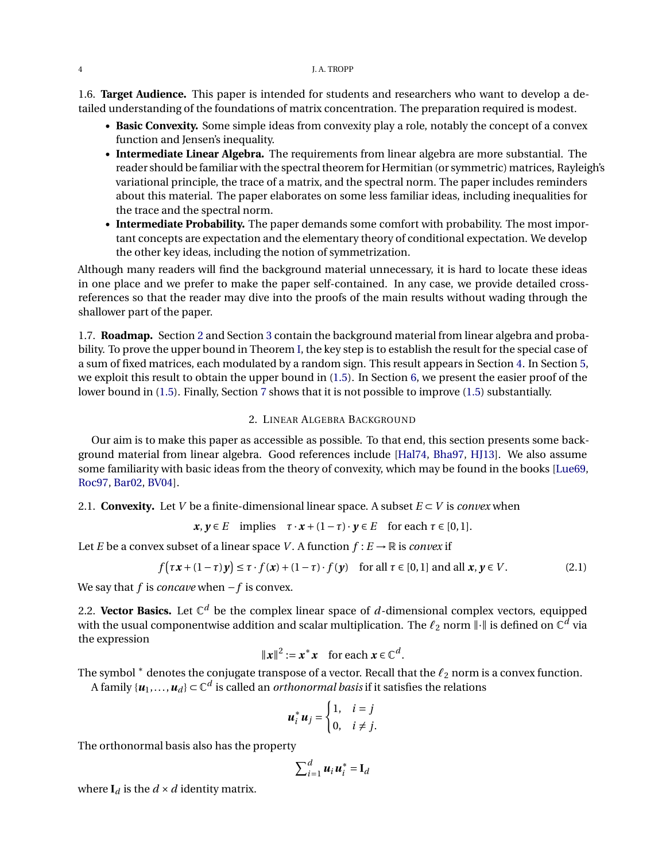1.6. **Target Audience.** This paper is intended for students and researchers who want to develop a detailed understanding of the foundations of matrix concentration. The preparation required is modest.

- **Basic Convexity.** Some simple ideas from convexity play a role, notably the concept of a convex function and Jensen's inequality.
- **Intermediate Linear Algebra.** The requirements from linear algebra are more substantial. The reader should be familiar with the spectral theorem for Hermitian (or symmetric) matrices, Rayleigh's variational principle, the trace of a matrix, and the spectral norm. The paper includes reminders about this material. The paper elaborates on some less familiar ideas, including inequalities for the trace and the spectral norm.
- **Intermediate Probability.** The paper demands some comfort with probability. The most important concepts are expectation and the elementary theory of conditional expectation. We develop the other key ideas, including the notion of symmetrization.

Although many readers will find the background material unnecessary, it is hard to locate these ideas in one place and we prefer to make the paper self-contained. In any case, we provide detailed crossreferences so that the reader may dive into the proofs of the main results without wading through the shallower part of the paper.

1.7. **Roadmap.** Section [2](#page-3-0) and Section [3](#page-8-0) contain the background material from linear algebra and probability. To prove the upper bound in Theorem [I,](#page-1-0) the key step is to establish the result for the special case of a sum of fixed matrices, each modulated by a random sign. This result appears in Section [4.](#page-10-0) In Section [5,](#page-13-0) we exploit this result to obtain the upper bound in [\(1.5\)](#page-1-4). In Section [6,](#page-16-0) we present the easier proof of the lower bound in [\(1.5\)](#page-1-4). Finally, Section [7](#page-18-0) shows that it is not possible to improve [\(1.5\)](#page-1-4) substantially.

## 2. LINEAR ALGEBRA BACKGROUND

<span id="page-3-0"></span>Our aim is to make this paper as accessible as possible. To that end, this section presents some background material from linear algebra. Good references include [\[Hal74,](#page-21-18) [Bha97,](#page-20-9) [HJ13\]](#page-21-19). We also assume some familiarity with basic ideas from the theory of convexity, which may be found in the books [\[Lue69,](#page-21-20) [Roc97,](#page-21-21) [Bar02,](#page-20-10) [BV04\]](#page-20-11).

2.1. **Convexity.** Let *V* be a finite-dimensional linear space. A subset  $E \subset V$  is *convex* when

$$
x, y \in E \quad \text{implies} \quad \tau \cdot x + (1 - \tau) \cdot y \in E \quad \text{for each } \tau \in [0, 1].
$$

Let *E* be a convex subset of a linear space *V*. A function  $f : E \to \mathbb{R}$  is *convex* if

$$
f\big(\tau x + (1-\tau)y\big) \le \tau \cdot f(x) + (1-\tau) \cdot f(y) \quad \text{for all } \tau \in [0,1] \text{ and all } x, y \in V. \tag{2.1}
$$

We say that *f* is *concave* when −*f* is convex.

2.2. **Vector Basics.** Let C *<sup>d</sup>* be the complex linear space of *d*-dimensional complex vectors, equipped with the usual componentwise addition and scalar multiplication. The  $\ell_2$  norm  $\| \cdot \|$  is defined on  $\mathbb{C}^d$  via the expression

$$
\|\boldsymbol{x}\|^2 := \boldsymbol{x}^* \boldsymbol{x} \quad \text{for each } \boldsymbol{x} \in \mathbb{C}^d.
$$

The symbol <sup>∗</sup> denotes the conjugate transpose of a vector. Recall that the *ℓ*<sup>2</sup> norm is a convex function.

A family  $\{\boldsymbol{u}_1,\ldots,\boldsymbol{u}_d\} \subset \mathbb{C}^d$  is called an *orthonormal basis* if it satisfies the relations

<span id="page-3-1"></span>
$$
\boldsymbol{u}_i^* \boldsymbol{u}_j = \begin{cases} 1, & i = j \\ 0, & i \neq j. \end{cases}
$$

The orthonormal basis also has the property

$$
\sum_{i=1}^d u_i u_i^* = \mathbf{I}_d
$$

where  $I_d$  is the  $d \times d$  identity matrix.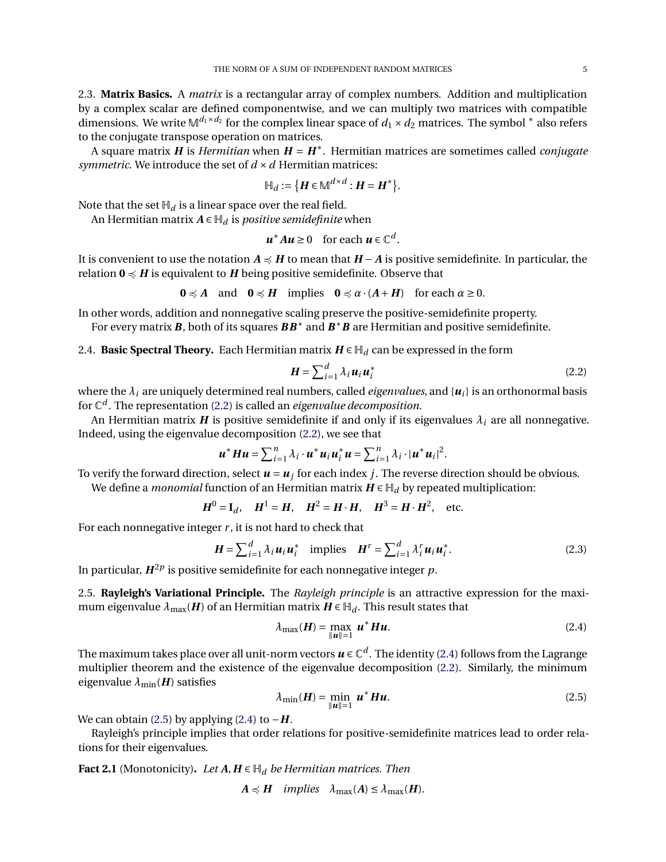A square matrix *H* is *Hermitian* when *H* = *H*<sup>∗</sup> . Hermitian matrices are sometimes called *conjugate symmetric*. We introduce the set of  $d \times d$  Hermitian matrices:

$$
\mathbb{H}_d := \{ \boldsymbol{H} \in \mathbb{M}^{d \times d} : \boldsymbol{H} = \boldsymbol{H}^* \}.
$$

Note that the set  $H_d$  is a linear space over the real field.

An Hermitian matrix  $A \in H_d$  is *positive semidefinite* when

$$
u^*Au \ge 0 \quad \text{for each } u \in \mathbb{C}^d.
$$

It is convenient to use the notation *A*  $\preccurlyeq$  *H* to mean that *H* − *A* is positive semidefinite. In particular, the relation  $0 \leq H$  is equivalent to *H* being positive semidefinite. Observe that

$$
0 \preccurlyeq A \quad \text{and} \quad 0 \preccurlyeq H \quad \text{implies} \quad 0 \preccurlyeq \alpha \cdot (A + H) \quad \text{for each } \alpha \ge 0.
$$

In other words, addition and nonnegative scaling preserve the positive-semidefinite property.

For every matrix *B*, both of its squares *BB*∗ and *B* ∗*B* are Hermitian and positive semidefinite.

2.4. **Basic Spectral Theory.** Each Hermitian matrix  $H \in \mathbb{H}_d$  can be expressed in the form

<span id="page-4-0"></span>
$$
\boldsymbol{H} = \sum_{i=1}^{d} \lambda_i \boldsymbol{u}_i \boldsymbol{u}_i^* \tag{2.2}
$$

where the  $\lambda_i$  are uniquely determined real numbers, called *eigenvalues*, and  $\{u_i\}$  is an orthonormal basis for C *d* . The representation [\(2.2\)](#page-4-0) is called an *eigenvalue decomposition*.

An Hermitian matrix *H* is positive semidefinite if and only if its eigenvalues  $\lambda_i$  are all nonnegative. Indeed, using the eigenvalue decomposition [\(2.2\)](#page-4-0), we see that

$$
\boldsymbol{u}^* \boldsymbol{H} \boldsymbol{u} = \sum_{i=1}^n \lambda_i \cdot \boldsymbol{u}^* \boldsymbol{u}_i \boldsymbol{u}_i^* \boldsymbol{u} = \sum_{i=1}^n \lambda_i \cdot |\boldsymbol{u}^* \boldsymbol{u}_i|^2.
$$

To verify the forward direction, select  $u = u_j$  for each index  $j$ . The reverse direction should be obvious. We define a *monomial* function of an Hermitian matrix  $H \in H_d$  by repeated multiplication:

 $H^0 = I_d$ ,  $H^1 = H$ ,  $H^2 = H \cdot H$ ,  $H^3 = H \cdot H^2$ , etc.

For each nonnegative integer  $r$ , it is not hard to check that

$$
\boldsymbol{H} = \sum_{i=1}^{d} \lambda_i \boldsymbol{u}_i \boldsymbol{u}_i^* \text{ implies } \boldsymbol{H}^r = \sum_{i=1}^{d} \lambda_i^r \boldsymbol{u}_i \boldsymbol{u}_i^*. \tag{2.3}
$$

In particular,  $H^{2p}$  is positive semidefinite for each nonnegative integer  $p$ .

2.5. **Rayleigh's Variational Principle.** The *Rayleigh principle* is an attractive expression for the maximum eigenvalue  $\lambda_{\text{max}}(H)$  of an Hermitian matrix  $H \in \mathbb{H}_d$ . This result states that

<span id="page-4-3"></span><span id="page-4-1"></span>
$$
\lambda_{\max}(\boldsymbol{H}) = \max_{\|\boldsymbol{u}\|=1} \boldsymbol{u}^* \boldsymbol{H} \boldsymbol{u}.
$$
 (2.4)

The maximum takes place over all unit-norm vectors  $\pmb{u}\in\mathbb{C}^d$ . The identity [\(2.4\)](#page-4-1) follows from the Lagrange multiplier theorem and the existence of the eigenvalue decomposition [\(2.2\)](#page-4-0). Similarly, the minimum eigenvalue  $\lambda_{\min}$ (*H*) satisfies

<span id="page-4-2"></span>
$$
\lambda_{\min}(\boldsymbol{H}) = \min_{\|\boldsymbol{u}\|=1} \boldsymbol{u}^* \boldsymbol{H} \boldsymbol{u}.
$$
 (2.5)

We can obtain [\(2.5\)](#page-4-2) by applying [\(2.4\)](#page-4-1) to  $-H$ .

Rayleigh's principle implies that order relations for positive-semidefinite matrices lead to order relations for their eigenvalues.

<span id="page-4-4"></span>**Fact 2.1** (Monotonicity). Let  $A, H \in \mathbb{H}_d$  be Hermitian matrices. Then

$$
A \preccurlyeq H \quad implies \quad \lambda_{\max}(A) \leq \lambda_{\max}(H).
$$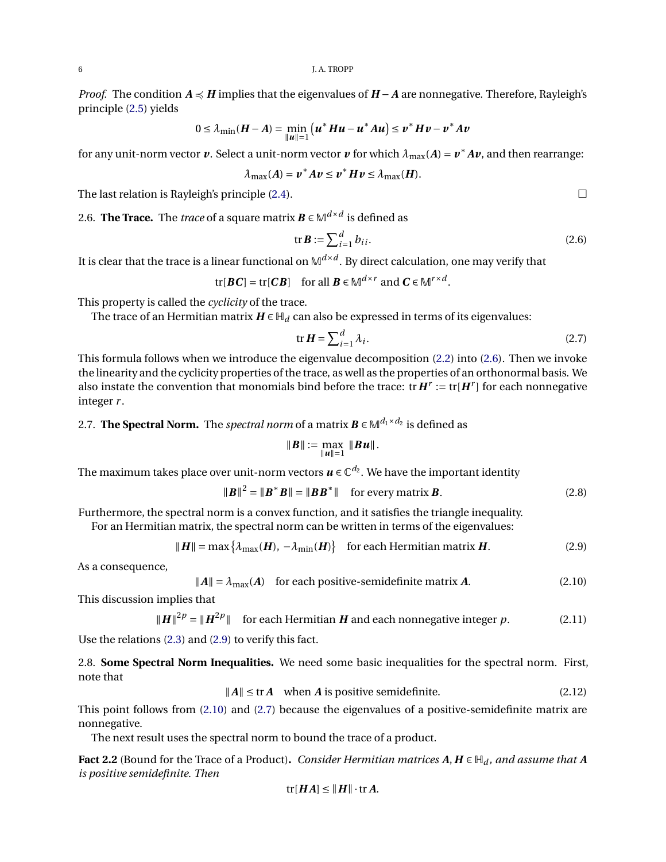*Proof.* The condition *A*  $\preccurlyeq$  *H* implies that the eigenvalues of *H* − *A* are nonnegative. Therefore, Rayleigh's principle [\(2.5\)](#page-4-2) yields

$$
0 \leq \lambda_{\min}(H - A) = \min_{\|u\|=1} (u^*Hu - u^*Au) \leq v^*Hv - v^*Av
$$

for any unit-norm vector  $v$ . Select a unit-norm vector  $v$  for which  $\lambda_{\max}(A) = v^* A v$ , and then rearrange:

$$
\lambda_{\max}(A) = v^* A v \leq v^* H v \leq \lambda_{\max}(H).
$$

The last relation is Rayleigh's principle  $(2.4)$ .

2.6. **The Trace.** The *trace* of a square matrix  $\mathbf{B} \in \mathbb{M}^{d \times d}$  is defined as

$$
\operatorname{tr} \boldsymbol{B} := \sum_{i=1}^{d} b_{ii}.\tag{2.6}
$$

It is clear that the trace is a linear functional on M*d*×*<sup>d</sup>* . By direct calculation, one may verify that

$$
\text{tr}[\boldsymbol{B}\boldsymbol{C}] = \text{tr}[\boldsymbol{C}\boldsymbol{B}] \quad \text{for all } \boldsymbol{B} \in \mathbb{M}^{d \times r} \text{ and } \boldsymbol{C} \in \mathbb{M}^{r \times d}.
$$

This property is called the *cyclicity* of the trace.

The trace of an Hermitian matrix  $H \in H_d$  can also be expressed in terms of its eigenvalues:

$$
\text{tr}\,\boldsymbol{H} = \sum_{i=1}^{d} \lambda_i. \tag{2.7}
$$

This formula follows when we introduce the eigenvalue decomposition [\(2.2\)](#page-4-0) into [\(2.6\)](#page-5-0). Then we invoke the linearity and the cyclicity properties of the trace, as well as the properties of an orthonormal basis. We also instate the convention that monomials bind before the trace:  $\text{tr} H^r := \text{tr}[H^r]$  for each nonnegative integer *r* .

2.7. **The Spectral Norm.** The *spectral norm* of a matrix  $\mathbf{B} \in \mathbb{M}^{d_1 \times d_2}$  is defined as

<span id="page-5-5"></span><span id="page-5-2"></span><span id="page-5-1"></span>
$$
\|\bm{B}\| := \max_{\|\bm{u}\|=1} \|\bm{B}\bm{u}\|.
$$

The maximum takes place over unit-norm vectors  $\boldsymbol{u} \in \mathbb{C}^{d_2}.$  We have the important identity

$$
\|\boldsymbol{B}\|^2 = \|\boldsymbol{B}^* \boldsymbol{B}\| = \|\boldsymbol{B} \boldsymbol{B}^*\| \quad \text{for every matrix } \boldsymbol{B}.
$$
 (2.8)

Furthermore, the spectral norm is a convex function, and it satisfies the triangle inequality.

For an Hermitian matrix, the spectral norm can be written in terms of the eigenvalues:

$$
\|\boldsymbol{H}\| = \max\left\{\lambda_{\max}(\boldsymbol{H}), -\lambda_{\min}(\boldsymbol{H})\right\} \quad \text{for each Hermitian matrix } \boldsymbol{H}.
$$
 (2.9)

As a consequence,

$$
||A|| = \lambda_{\text{max}}(A) \quad \text{for each positive-semidefinite matrix } A. \tag{2.10}
$$

This discussion implies that

$$
||H||^{2p} = ||H^{2p}||
$$
 for each Hermitian *H* and each nonnegative integer *p*. (2.11)

Use the relations [\(2.3\)](#page-4-3) and [\(2.9\)](#page-5-1) to verify this fact.

2.8. **Some Spectral Norm Inequalities.** We need some basic inequalities for the spectral norm. First, note that

 $||A|| \leq \text{tr } A$  when *A* is positive semidefinite. (2.12)

This point follows from [\(2.10\)](#page-5-2) and [\(2.7\)](#page-5-3) because the eigenvalues of a positive-semidefinite matrix are nonnegative.

The next result uses the spectral norm to bound the trace of a product.

<span id="page-5-7"></span>**Fact 2.2** (Bound for the Trace of a Product). *Consider Hermitian matrices*  $A, H \in H_d$ , and assume that  $A$ *is positive semidefinite. Then*

<span id="page-5-6"></span><span id="page-5-4"></span>
$$
\text{tr}[HA] \leq \|H\| \cdot \text{tr} \, A.
$$

<span id="page-5-3"></span><span id="page-5-0"></span>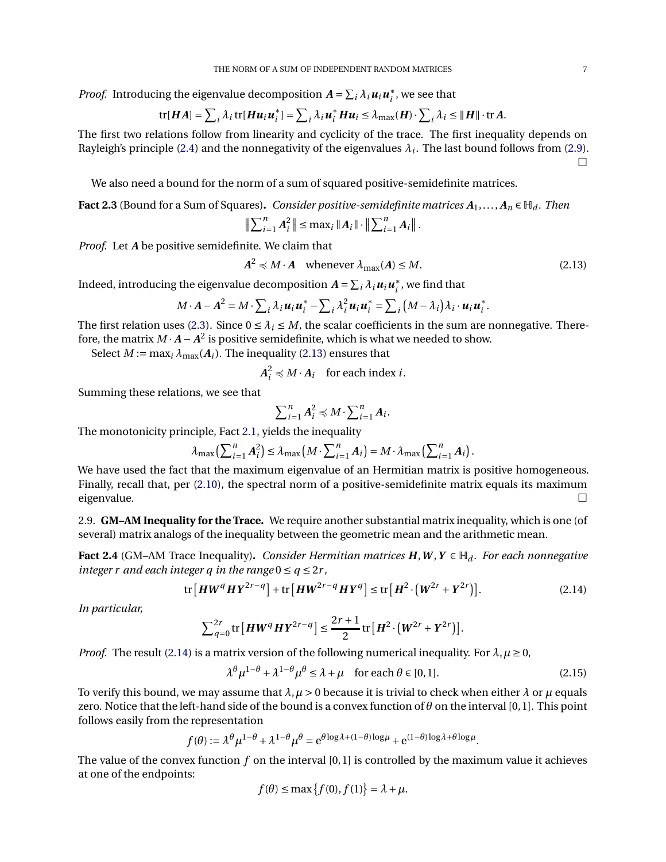*Proof.* Introducing the eigenvalue decomposition  $A = \sum_i \lambda_i u_i u_i^*$ , we see that

tr[
$$
HA
$$
] =  $\sum_i \lambda_i$  tr[ $H u_i u_i^*$ ] =  $\sum_i \lambda_i u_i^* H u_i \leq \lambda_{\max}(H) \cdot \sum_i \lambda_i \leq ||H|| \cdot tr A$ .

The first two relations follow from linearity and cyclicity of the trace. The first inequality depends on Rayleigh's principle [\(2.4\)](#page-4-1) and the nonnegativity of the eigenvalues  $\lambda_i$ . The last bound follows from [\(2.9\)](#page-5-1).  $\Box$ 

We also need a bound for the norm of a sum of squared positive-semidefinite matrices.

<span id="page-6-4"></span>**Fact 2.3** (Bound for a Sum of Squares). *Consider positive-semidefinite matrices*  $A_1, \ldots, A_n \in \mathbb{H}_d$ . *Then* 

$$
\left\| \sum_{i=1}^{n} A_i^2 \right\| \leq \max_i \|A_i\| \cdot \left\| \sum_{i=1}^{n} A_i \right\|.
$$

*Proof.* Let *A* be positive semidefinite. We claim that

<span id="page-6-0"></span>
$$
A^2 \preccurlyeq M \cdot A \quad \text{whenever } \lambda_{\text{max}}(A) \le M. \tag{2.13}
$$

Indeed, introducing the eigenvalue decomposition  $A = \sum_i \lambda_i \boldsymbol{u}_i \boldsymbol{u}_i^*$ , we find that

$$
M\cdot A-A^2=M\cdot\sum_i\lambda_i\mathbf{u}_i\mathbf{u}_i^*-\sum_i\lambda_i^2\mathbf{u}_i\mathbf{u}_i^*=\sum_i\big(M-\lambda_i\big)\lambda_i\cdot\mathbf{u}_i\mathbf{u}_i^*.
$$

The first relation uses [\(2.3\)](#page-4-3). Since  $0 \leq \lambda_i \leq M$ , the scalar coefficients in the sum are nonnegative. Therefore, the matrix  $M \cdot A - A^2$  is positive semidefinite, which is what we needed to show.

Select  $M := \max_i \lambda_{\max}(A_i)$ . The inequality [\(2.13\)](#page-6-0) ensures that

 $A_i^2 \preccurlyeq M \cdot A_i$  for each index *i*.

Summing these relations, we see that

<span id="page-6-1"></span>
$$
\sum_{i=1}^n A_i^2 \preccurlyeq M \cdot \sum_{i=1}^n A_i.
$$

The monotonicity principle, Fact [2.1,](#page-4-4) yields the inequality

$$
\lambda_{\max}\left(\sum_{i=1}^n A_i^2\right) \leq \lambda_{\max}\left(M \cdot \sum_{i=1}^n A_i\right) = M \cdot \lambda_{\max}\left(\sum_{i=1}^n A_i\right).
$$

We have used the fact that the maximum eigenvalue of an Hermitian matrix is positive homogeneous. Finally, recall that, per [\(2.10\)](#page-5-2), the spectral norm of a positive-semidefinite matrix equals its maximum eigenvalue.  $\qquad \qquad \Box$ 

2.9. **GM–AM Inequality for the Trace.** We require another substantial matrix inequality, which is one (of several) matrix analogs of the inequality between the geometric mean and the arithmetic mean.

<span id="page-6-3"></span>**Fact 2.4** (GM–AM Trace Inequality). *Consider Hermitian matrices*  $H, W, Y \in H_d$ . *For each nonnegative integer r and each integer q in the range*  $0 \le q \le 2r$ ,

$$
\operatorname{tr}\left[\boldsymbol{H}\boldsymbol{W}^{q}\boldsymbol{H}\boldsymbol{Y}^{2r-q}\right] + \operatorname{tr}\left[\boldsymbol{H}\boldsymbol{W}^{2r-q}\boldsymbol{H}\boldsymbol{Y}^{q}\right] \leq \operatorname{tr}\left[\boldsymbol{H}^{2}\cdot\left(\boldsymbol{W}^{2r}+\boldsymbol{Y}^{2r}\right)\right].\tag{2.14}
$$

*In particular,*

$$
\sum_{q=0}^{2r} \text{tr}\left[\boldsymbol{H}\boldsymbol{W}^q\boldsymbol{H}\boldsymbol{Y}^{2r-q}\right] \leq \frac{2r+1}{2} \text{tr}\left[\boldsymbol{H}^2\cdot\left(\boldsymbol{W}^{2r}+\boldsymbol{Y}^{2r}\right)\right].
$$

*Proof.* The result [\(2.14\)](#page-6-1) is a matrix version of the following numerical inequality. For  $\lambda, \mu \ge 0$ ,

$$
\lambda^{\theta} \mu^{1-\theta} + \lambda^{1-\theta} \mu^{\theta} \le \lambda + \mu \quad \text{for each } \theta \in [0,1].
$$
 (2.15)

To verify this bound, we may assume that  $\lambda, \mu > 0$  because it is trivial to check when either  $\lambda$  or  $\mu$  equals zero. Notice that the left-hand side of the bound is a convex function of *θ* on the interval [0,1]. This point follows easily from the representation

$$
f(\theta) := \lambda^{\theta} \mu^{1-\theta} + \lambda^{1-\theta} \mu^{\theta} = e^{\theta \log \lambda + (1-\theta) \log \mu} + e^{(1-\theta) \log \lambda + \theta \log \mu}.
$$

The value of the convex function *f* on the interval [0,1] is controlled by the maximum value it achieves at one of the endpoints:

<span id="page-6-2"></span>
$$
f(\theta) \le \max\{f(0), f(1)\} = \lambda + \mu.
$$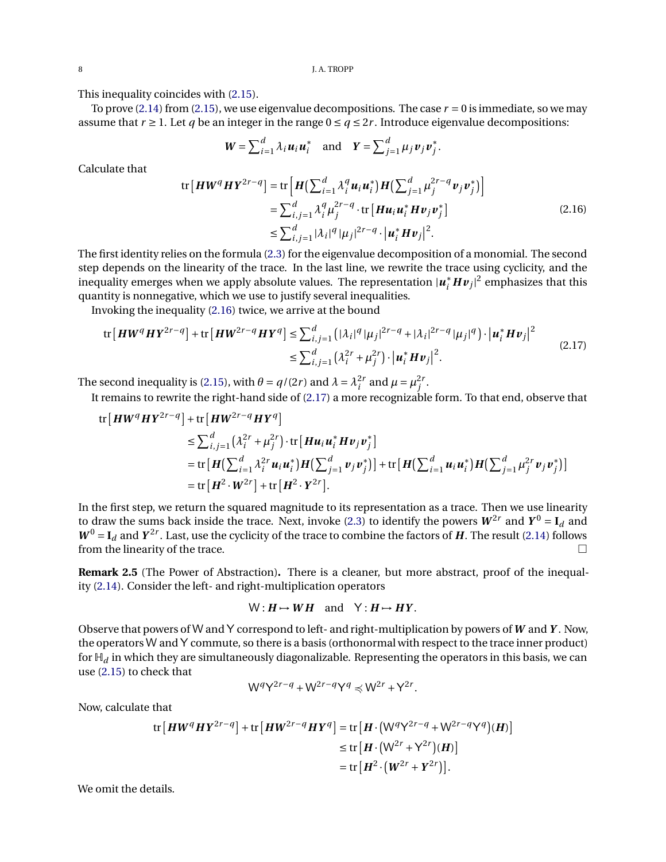8 J.A. TROPP

This inequality coincides with [\(2.15\)](#page-6-2).

To prove [\(2.14\)](#page-6-1) from [\(2.15\)](#page-6-2), we use eigenvalue decompositions. The case  $r = 0$  is immediate, so we may assume that  $r \geq 1$ . Let q be an integer in the range  $0 \leq q \leq 2r$ . Introduce eigenvalue decompositions:

<span id="page-7-1"></span><span id="page-7-0"></span>
$$
\boldsymbol{W} = \sum_{i=1}^d \lambda_i \boldsymbol{u}_i \boldsymbol{u}_i^* \quad \text{and} \quad \boldsymbol{Y} = \sum_{j=1}^d \mu_j \boldsymbol{v}_j \boldsymbol{v}_j^*.
$$

Calculate that

$$
\text{tr}\left[\boldsymbol{H}\boldsymbol{W}^{q}\boldsymbol{H}\boldsymbol{Y}^{2r-q}\right] = \text{tr}\left[\boldsymbol{H}\left(\sum_{i=1}^{d}\lambda_{i}^{q}\boldsymbol{u}_{i}\boldsymbol{u}_{i}^{*}\right)\boldsymbol{H}\left(\sum_{j=1}^{d}\mu_{j}^{2r-q}\boldsymbol{v}_{j}\boldsymbol{v}_{j}^{*}\right)\right]
$$
\n
$$
= \sum_{i,j=1}^{d}\lambda_{i}^{q}\mu_{j}^{2r-q}\cdot\text{tr}\left[\boldsymbol{H}\boldsymbol{u}_{i}\boldsymbol{u}_{i}^{*}\boldsymbol{H}\boldsymbol{v}_{j}\boldsymbol{v}_{j}^{*}\right]
$$
\n
$$
\leq \sum_{i,j=1}^{d}|\lambda_{i}|^{q}|\mu_{j}|^{2r-q}\cdot\left|\boldsymbol{u}_{i}^{*}\boldsymbol{H}\boldsymbol{v}_{j}\right|^{2}.\tag{2.16}
$$

The first identity relies on the formula [\(2.3\)](#page-4-3) for the eigenvalue decomposition of a monomial. The second step depends on the linearity of the trace. In the last line, we rewrite the trace using cyclicity, and the inequality emerges when we apply absolute values. The representation  $|\bm{u}_i^* \bm{H} \bm{v}_j|^2$  emphasizes that this quantity is nonnegative, which we use to justify several inequalities.

Invoking the inequality [\(2.16\)](#page-7-0) twice, we arrive at the bound

tr 
$$
\left[ H W^{q} H Y^{2r-q} \right] + \text{tr} \left[ H W^{2r-q} H Y^{q} \right] \le \sum_{i,j=1}^{d} \left( |\lambda_{i}|^{q} |\mu_{j}|^{2r-q} + |\lambda_{i}|^{2r-q} |\mu_{j}|^{q} \right) \cdot \left| \boldsymbol{u}_{i}^{*} H \boldsymbol{v}_{j} \right|^{2}
$$
  

$$
\le \sum_{i,j=1}^{d} \left( \lambda_{i}^{2r} + \mu_{j}^{2r} \right) \cdot \left| \boldsymbol{u}_{i}^{*} H \boldsymbol{v}_{j} \right|^{2}.
$$
 (2.17)

The second inequality is [\(2.15\)](#page-6-2), with  $\theta = q/(2r)$  and  $\lambda = \lambda_i^{2r}$  and  $\mu = \mu_j^{2r}$ .

It remains to rewrite the right-hand side of [\(2.17\)](#page-7-1) a more recognizable form. To that end, observe that

tr 
$$
[HW^q HY^{2r-q}] + tr[HW^{2r-q} HY^q]
$$
  
\n $\leq \sum_{i,j=1}^d (\lambda_i^{2r} + \mu_j^{2r}) \cdot tr[Hu_i u_i^* Hv_j v_j^*]$   
\n $= tr[H(\sum_{i=1}^d \lambda_i^{2r} u_i u_i^*) H(\sum_{j=1}^d v_j v_j^*)] + tr[H(\sum_{i=1}^d u_i u_i^*) H(\sum_{j=1}^d \mu_j^{2r} v_j v_j^*)]$   
\n $= tr[H^2 \cdot W^{2r}] + tr[H^2 \cdot Y^{2r}].$ 

In the first step, we return the squared magnitude to its representation as a trace. Then we use linearity to draw the sums back inside the trace. Next, invoke [\(2.3\)](#page-4-3) to identify the powers  $W^{2r}$  and  $Y^0 = I_d$  and  $W^0 = I_d$  and  $Y^{2r}$ . Last, use the cyclicity of the trace to combine the factors of *H*. The result [\(2.14\)](#page-6-1) follows from the linearity of the trace.

**Remark 2.5** (The Power of Abstraction)**.** There is a cleaner, but more abstract, proof of the inequality [\(2.14\)](#page-6-1). Consider the left- and right-multiplication operators

$$
W: H \mapsto WH \text{ and } Y: H \mapsto HY.
$$

Observe that powers of W andY correspond to left- and right-multiplication by powers of *W* and *Y* . Now, the operators W andY commute, so there is a basis (orthonormal with respect to the trace inner product) for  $H_d$  in which they are simultaneously diagonalizable. Representing the operators in this basis, we can use [\(2.15\)](#page-6-2) to check that

$$
W^q Y^{2r-q} + W^{2r-q} Y^q \preccurlyeq W^{2r} + Y^{2r}.
$$

Now, calculate that

$$
\text{tr}\left[\boldsymbol{H}\boldsymbol{W}^{q}\boldsymbol{H}\boldsymbol{Y}^{2r-q}\right] + \text{tr}\left[\boldsymbol{H}\boldsymbol{W}^{2r-q}\boldsymbol{H}\boldsymbol{Y}^{q}\right] = \text{tr}\left[\boldsymbol{H}\cdot\left(\boldsymbol{W}^{q}\boldsymbol{Y}^{2r-q} + \boldsymbol{W}^{2r-q}\boldsymbol{Y}^{q}\right)(\boldsymbol{H})\right] \\
\leq \text{tr}\left[\boldsymbol{H}\cdot\left(\boldsymbol{W}^{2r} + \boldsymbol{Y}^{2r}\right)(\boldsymbol{H})\right] \\
= \text{tr}\left[\boldsymbol{H}^{2}\cdot\left(\boldsymbol{W}^{2r} + \boldsymbol{Y}^{2r}\right)\right].
$$

We omit the details.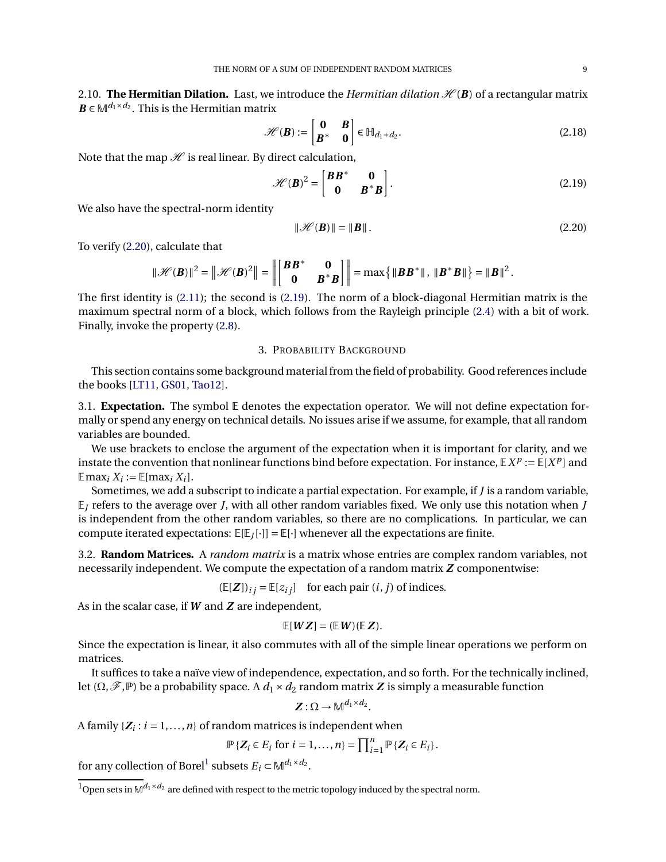2.10. **The Hermitian Dilation.** Last, we introduce the *Hermitian dilation*  $\mathcal{H}(B)$  of a rectangular matrix  $\mathbf{B}$  ∈  $\mathbb{M}^{d_1 \times d_2}$ . This is the Hermitian matrix

$$
\mathscr{H}(\mathbf{B}) := \begin{bmatrix} \mathbf{0} & \mathbf{B} \\ \mathbf{B}^* & \mathbf{0} \end{bmatrix} \in \mathbb{H}_{d_1 + d_2}.\tag{2.18}
$$

Note that the map  $\mathcal H$  is real linear. By direct calculation,

$$
\mathcal{H}(\boldsymbol{B})^2 = \begin{bmatrix} \boldsymbol{B}\boldsymbol{B}^* & \mathbf{0} \\ \mathbf{0} & \boldsymbol{B}^* \boldsymbol{B} \end{bmatrix} .
$$
 (2.19)

We also have the spectral-norm identity

<span id="page-8-3"></span><span id="page-8-2"></span><span id="page-8-1"></span>
$$
\|\mathcal{H}(\mathbf{B})\| = \|\mathbf{B}\|.\tag{2.20}
$$

To verify [\(2.20\)](#page-8-1), calculate that

$$
\|\mathscr{H}(\boldsymbol{B})\|^2 = \left\|\mathscr{H}(\boldsymbol{B})^2\right\| = \left\|\begin{bmatrix} \boldsymbol{B}\boldsymbol{B}^* & \mathbf{0} \\ \mathbf{0} & \boldsymbol{B}^*\boldsymbol{B} \end{bmatrix}\right\| = \max\left\{\|\boldsymbol{B}\boldsymbol{B}^*\|,\ \|\boldsymbol{B}^*\boldsymbol{B}\|\right\} = \|\boldsymbol{B}\|^2.
$$

The first identity is [\(2.11\)](#page-5-4); the second is [\(2.19\)](#page-8-2). The norm of a block-diagonal Hermitian matrix is the maximum spectral norm of a block, which follows from the Rayleigh principle [\(2.4\)](#page-4-1) with a bit of work. Finally, invoke the property [\(2.8\)](#page-5-5).

### 3. PROBABILITY BACKGROUND

<span id="page-8-0"></span>This section contains some background material from the field of probability. Good references include the books [\[LT11,](#page-21-17) [GS01,](#page-21-22) [Tao12\]](#page-22-6).

3.1. **Expectation.** The symbol E denotes the expectation operator. We will not define expectation formally or spend any energy on technical details. No issues arise if we assume, for example, that all random variables are bounded.

We use brackets to enclose the argument of the expectation when it is important for clarity, and we instate the convention that nonlinear functions bind before expectation. For instance,  $\mathbb{E}[X^p] := \mathbb{E}[X^p]$  and  $\mathbb{E} \max_i X_i := \mathbb{E}[\max_i X_i].$ 

Sometimes, we add a subscript to indicate a partial expectation. For example, if *J* is a random variable,  $E_I$  refers to the average over *J*, with all other random variables fixed. We only use this notation when *J* is independent from the other random variables, so there are no complications. In particular, we can compute iterated expectations:  $\mathbb{E}[\mathbb{E}_J[\cdot]] = \mathbb{E}[\cdot]$  whenever all the expectations are finite.

3.2. **Random Matrices.** A *random matrix* is a matrix whose entries are complex random variables, not necessarily independent. We compute the expectation of a random matrix *Z* componentwise:

 $(E[Z])_{ij} = E[z_{ij}]$  for each pair  $(i, j)$  of indices.

As in the scalar case, if *W* and *Z* are independent,

$$
\mathbb{E}[WZ] = (\mathbb{E} W)(\mathbb{E} Z).
$$

Since the expectation is linear, it also commutes with all of the simple linear operations we perform on matrices.

It suffices to take a naïve view of independence, expectation, and so forth. For the technically inclined, let  $(\Omega, \mathscr{F}, \mathbb{P})$  be a probability space. A  $d_1 \times d_2$  random matrix **Z** is simply a measurable function

$$
Z:\Omega\to \mathbb{M}^{d_1\times d_2}.
$$

A family  $\{Z_i : i = 1, ..., n\}$  of random matrices is independent when

$$
\mathbb{P}\left\{Z_i \in E_i \text{ for } i = 1, \ldots, n\right\} = \prod_{i=1}^n \mathbb{P}\left\{Z_i \in E_i\right\}.
$$

for any collection of Borel<sup>1</sup> subsets  $E_i \subset M^{d_1 \times d_2}$ .

 $\frac{1}{10}$  Open sets in  $\mathbb{M}^{d_1 \times d_2}$  are defined with respect to the metric topology induced by the spectral norm.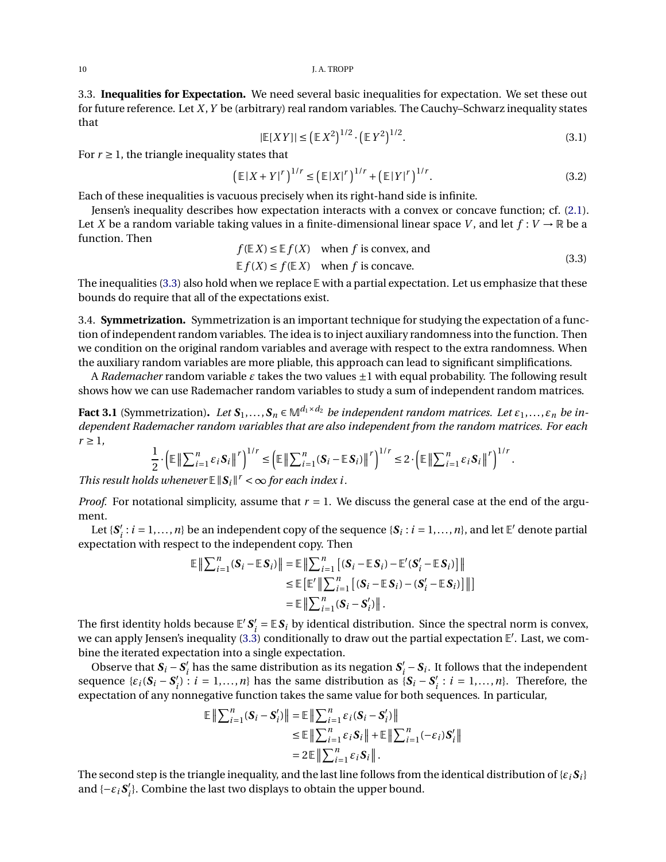3.3. **Inequalities for Expectation.** We need several basic inequalities for expectation. We set these out for future reference. Let *X*,*Y* be (arbitrary) real random variables. The Cauchy–Schwarz inequality states that

<span id="page-9-3"></span><span id="page-9-1"></span><span id="page-9-0"></span>
$$
|\mathbb{E}[XY]| \leq (\mathbb{E}[X^2]^{1/2} \cdot (\mathbb{E}[Y^2]^{1/2}).
$$
\n(3.1)

For  $r \geq 1$ , the triangle inequality states that

$$
\left(\mathbb{E}|X+Y|^{r}\right)^{1/r} \leq \left(\mathbb{E}|X|^{r}\right)^{1/r} + \left(\mathbb{E}|Y|^{r}\right)^{1/r}.\tag{3.2}
$$

Each of these inequalities is vacuous precisely when its right-hand side is infinite.

Jensen's inequality describes how expectation interacts with a convex or concave function; cf. [\(2.1\)](#page-3-1). Let *X* be a random variable taking values in a finite-dimensional linear space *V*, and let  $f: V \to \mathbb{R}$  be a function. Then  $f(F|V) \neq F$   $f(Y)$  when *f*:

$$
f(\mathbb{E}X) \le \mathbb{E}f(X) \quad \text{when } f \text{ is convex, and}
$$
  

$$
\mathbb{E}f(X) \le f(\mathbb{E}X) \quad \text{when } f \text{ is concave.}
$$
 (3.3)

The inequalities  $(3.3)$  also hold when we replace  $\mathbb E$  with a partial expectation. Let us emphasize that these bounds do require that all of the expectations exist.

3.4. **Symmetrization.** Symmetrization is an important technique for studying the expectation of a function of independent random variables. The idea is to inject auxiliary randomness into the function. Then we condition on the original random variables and average with respect to the extra randomness. When the auxiliary random variables are more pliable, this approach can lead to significant simplifications.

A *Rademacher* random variable  $\varepsilon$  takes the two values  $\pm 1$  with equal probability. The following result shows how we can use Rademacher random variables to study a sum of independent random matrices.

<span id="page-9-2"></span>**Fact 3.1** (Symmetrization). Let  $S_1, \ldots, S_n \in \mathbb{M}^{d_1 \times d_2}$  be independent random matrices. Let  $\varepsilon_1, \ldots, \varepsilon_n$  be in*dependent Rademacher random variables that are also independent from the random matrices. For each*  $r \geq 1$ .

$$
\frac{1}{2} \cdot \left( \mathbb{E} \left\| \sum_{i=1}^n \varepsilon_i S_i \right\|^r \right)^{1/r} \leq \left( \mathbb{E} \left\| \sum_{i=1}^n (S_i - \mathbb{E} S_i) \right\|^r \right)^{1/r} \leq 2 \cdot \left( \mathbb{E} \left\| \sum_{i=1}^n \varepsilon_i S_i \right\|^r \right)^{1/r}.
$$

*This result holds whenever*  $\mathbb{E} \|\mathbf{S}_i\|^r < \infty$  for each index i.

*Proof.* For notational simplicity, assume that  $r = 1$ . We discuss the general case at the end of the argument.

Let  $\{S_i : i = 1, ..., n\}$  be an independent copy of the sequence  $\{S_i : i = 1, ..., n\}$ , and let  $\mathbb{E}'$  denote partial expectation with respect to the independent copy. Then

$$
\mathbb{E}\left\|\sum_{i=1}^{n}(S_{i}-\mathbb{E} S_{i})\right\|=\mathbb{E}\left\|\sum_{i=1}^{n}\left[(S_{i}-\mathbb{E} S_{i})-\mathbb{E}'(S'_{i}-\mathbb{E} S_{i})\right]\right\|
$$
  
\n
$$
\leq \mathbb{E}\left[\mathbb{E}'\left\|\sum_{i=1}^{n}\left[(S_{i}-\mathbb{E} S_{i})-(S'_{i}-\mathbb{E} S_{i})\right]\right\|\right]
$$
  
\n
$$
=\mathbb{E}\left\|\sum_{i=1}^{n}(S_{i}-S'_{i})\right\|.
$$

The first identity holds because  $E' S_i' = E S_i$  by identical distribution. Since the spectral norm is convex, we can apply Jensen's inequality [\(3.3\)](#page-9-0) conditionally to draw out the partial expectation E ′ . Last, we combine the iterated expectation into a single expectation.

Observe that  $S_i - S'_i$  has the same distribution as its negation  $S'_i - S_i$ . It follows that the independent sequence  $\{\varepsilon_i(\mathbf{S}_i - \mathbf{S}'_i) : i = 1, ..., n\}$  has the same distribution as  $\{\mathbf{S}_i - \mathbf{S}'_i : i = 1, ..., n\}$ . Therefore, the expectation of any nonnegative function takes the same value for both sequences. In particular,

$$
\mathbb{E}\left\|\sum_{i=1}^{n}(\mathbf{S}_{i}-\mathbf{S}'_{i})\right\|=\mathbb{E}\left\|\sum_{i=1}^{n}\varepsilon_{i}(\mathbf{S}_{i}-\mathbf{S}'_{i})\right\|
$$
  
\n
$$
\leq\mathbb{E}\left\|\sum_{i=1}^{n}\varepsilon_{i}\mathbf{S}_{i}\right\|+\mathbb{E}\left\|\sum_{i=1}^{n}(-\varepsilon_{i})\mathbf{S}'_{i}\right\|
$$
  
\n
$$
=2\mathbb{E}\left\|\sum_{i=1}^{n}\varepsilon_{i}\mathbf{S}_{i}\right\|.
$$

The second step is the triangle inequality, and the last line follows from the identical distribution of  $\{ \varepsilon_i S_i \}$ and { $-\varepsilon_i S'_i$ }. Combine the last two displays to obtain the upper bound.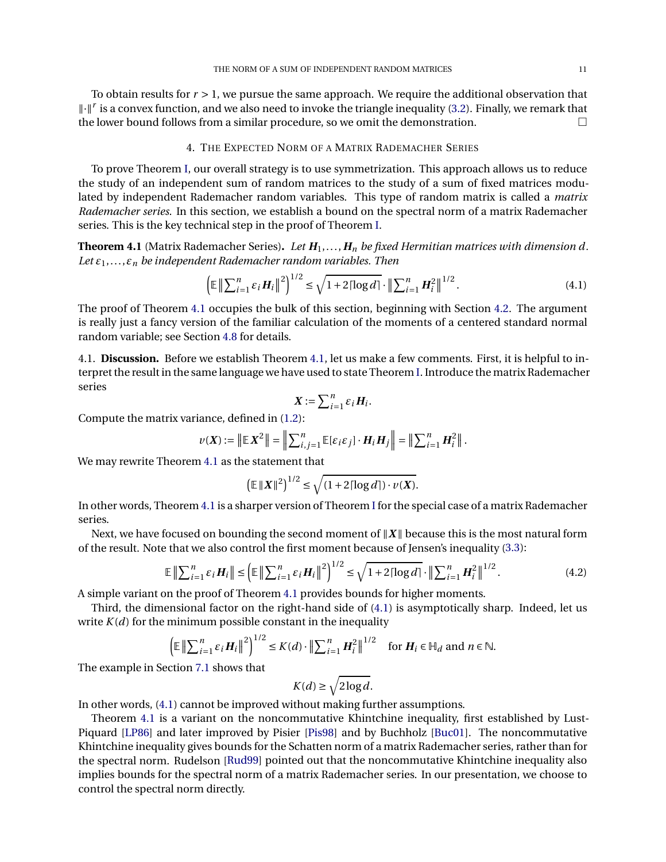To obtain results for *r* > 1, we pursue the same approach. We require the additional observation that  $\|\cdot\|$ <sup>r</sup> is a convex function, and we also need to invoke the triangle inequality [\(3.2\)](#page-9-1). Finally, we remark that the lower bound follows from a similar procedure, so we omit the demonstration.

## 4. THE EXPECTED NORM OF A MATRIX RADEMACHER SERIES

<span id="page-10-0"></span>To prove Theorem [I,](#page-1-0) our overall strategy is to use symmetrization. This approach allows us to reduce the study of an independent sum of random matrices to the study of a sum of fixed matrices modulated by independent Rademacher random variables. This type of random matrix is called a *matrix Rademacher series*. In this section, we establish a bound on the spectral norm of a matrix Rademacher series. This is the key technical step in the proof of Theorem [I.](#page-1-0)

<span id="page-10-1"></span>**Theorem 4.1** (Matrix Rademacher Series). Let  $H_1, \ldots, H_n$  be fixed Hermitian matrices with dimension d. *Let ε*1,...,*ε<sup>n</sup> be independent Rademacher random variables. Then*

$$
\left(\mathbb{E}\left\|\sum_{i=1}^{n}\varepsilon_{i}H_{i}\right\|^{2}\right)^{1/2} \leq \sqrt{1+2\lceil\log d\rceil} \cdot \left\|\sum_{i=1}^{n}H_{i}^{2}\right\|^{1/2}.
$$
\n(4.1)

The proof of Theorem [4.1](#page-10-1) occupies the bulk of this section, beginning with Section [4.2.](#page-11-0) The argument is really just a fancy version of the familiar calculation of the moments of a centered standard normal random variable; see Section [4.8](#page-13-1) for details.

4.1. **Discussion.** Before we establish Theorem [4.1,](#page-10-1) let us make a few comments. First, it is helpful to interpret the result in the same language we have used to state Theorem [I.](#page-1-0) Introduce the matrix Rademacher series

<span id="page-10-2"></span>
$$
\boldsymbol{X} := \sum_{i=1}^n \varepsilon_i \boldsymbol{H}_i.
$$

Compute the matrix variance, defined in [\(1.2\)](#page-1-2):

$$
\nu(\boldsymbol{X}) := \left\| \mathbb{E} \, \boldsymbol{X}^2 \right\| = \left\| \sum_{i,j=1}^n \mathbb{E}[\varepsilon_i \varepsilon_j] \cdot \boldsymbol{H}_i \, \boldsymbol{H}_j \right\| = \left\| \sum_{i=1}^n \boldsymbol{H}_i^2 \right\|.
$$

We may rewrite Theorem [4.1](#page-10-1) as the statement that

$$
\left(\mathbb{E} \left\|X\right\|^2\right)^{1/2} \le \sqrt{\left(1 + 2\lceil \log d \rceil\right) \cdot \nu(X)}.
$$

In other words, Theorem [4.1](#page-10-1) is a sharper version of Theorem [I](#page-1-0) for the special case of a matrix Rademacher series.

Next, we have focused on bounding the second moment of  $||X||$  because this is the most natural form of the result. Note that we also control the first moment because of Jensen's inequality [\(3.3\)](#page-9-0):

$$
\mathbb{E}\left\|\sum_{i=1}^{n}\varepsilon_{i}H_{i}\right\| \leq \left(\mathbb{E}\left\|\sum_{i=1}^{n}\varepsilon_{i}H_{i}\right\|^{2}\right)^{1/2} \leq \sqrt{1+2\lceil\log d\rceil} \cdot \left\|\sum_{i=1}^{n}H_{i}^{2}\right\|^{1/2}.
$$
 (4.2)

A simple variant on the proof of Theorem [4.1](#page-10-1) provides bounds for higher moments.

Third, the dimensional factor on the right-hand side of [\(4.1\)](#page-10-2) is asymptotically sharp. Indeed, let us write  $K(d)$  for the minimum possible constant in the inequality

$$
\left(\mathbb{E}\left\|\sum_{i=1}^n \varepsilon_i \mathbf{H}_i\right\|^2\right)^{1/2} \leq K(d) \cdot \left\|\sum_{i=1}^n \mathbf{H}_i^2\right\|^{1/2} \quad \text{for } \mathbf{H}_i \in \mathbb{H}_d \text{ and } n \in \mathbb{N}.
$$

The example in Section [7.1](#page-18-1) shows that

<span id="page-10-3"></span>
$$
K(d) \ge \sqrt{2\log d}.
$$

In other words, [\(4.1\)](#page-10-2) cannot be improved without making further assumptions.

Theorem [4.1](#page-10-1) is a variant on the noncommutative Khintchine inequality, first established by Lust-Piquard [\[LP86\]](#page-21-15) and later improved by Pisier [\[Pis98\]](#page-21-16) and by Buchholz [\[Buc01\]](#page-20-8). The noncommutative Khintchine inequality gives bounds for the Schatten norm of a matrix Rademacher series, rather than for the spectral norm. Rudelson [\[Rud99\]](#page-22-3) pointed out that the noncommutative Khintchine inequality also implies bounds for the spectral norm of a matrix Rademacher series. In our presentation, we choose to control the spectral norm directly.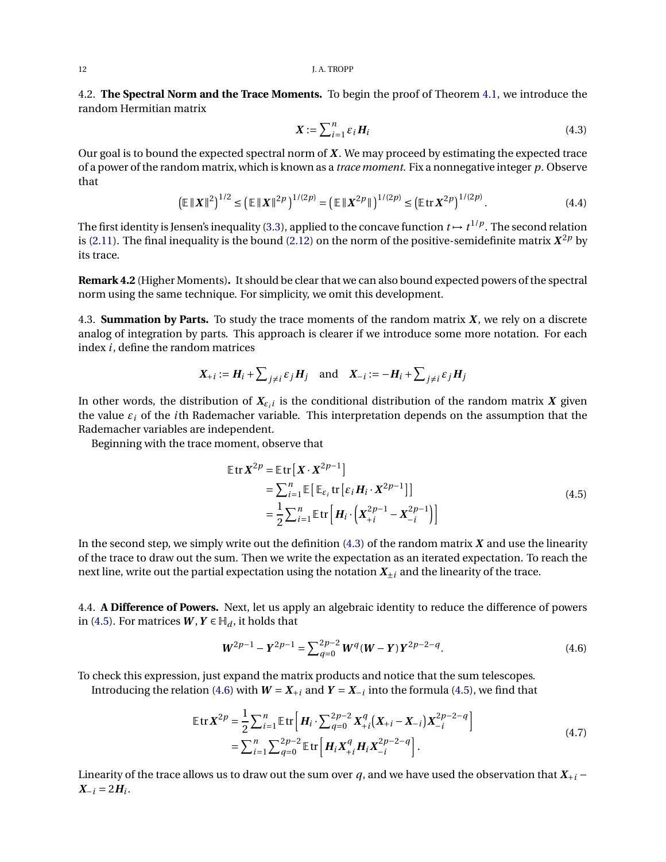<span id="page-11-0"></span>4.2. **The Spectral Norm and the Trace Moments.** To begin the proof of Theorem [4.1,](#page-10-1) we introduce the random Hermitian matrix

<span id="page-11-5"></span><span id="page-11-1"></span>
$$
\boldsymbol{X} := \sum_{i=1}^{n} \varepsilon_i \boldsymbol{H}_i \tag{4.3}
$$

Our goal is to bound the expected spectral norm of *X* . We may proceed by estimating the expected trace of a power of the random matrix, which is known as a *trace moment*. Fix a nonnegative integer *p*. Observe that

$$
\left(\mathbb{E} \left\|X\right\|^2\right)^{1/2} \le \left(\mathbb{E} \left\|X\right\|^{2p}\right)^{1/(2p)} = \left(\mathbb{E} \left\|X^{2p}\right\|\right)^{1/(2p)} \le \left(\mathbb{E} \operatorname{tr} X^{2p}\right)^{1/(2p)}.\tag{4.4}
$$

The first identity is Jensen's inequality [\(3.3\)](#page-9-0), applied to the concave function  $t \mapsto t^{1/p}$ . The second relation is [\(2.11\)](#page-5-4). The final inequality is the bound [\(2.12\)](#page-5-6) on the norm of the positive-semidefinite matrix  $X^{2p}$  by its trace.

**Remark 4.2** (Higher Moments)**.** It should be clear that we can also bound expected powers of the spectral norm using the same technique. For simplicity, we omit this development.

4.3. **Summation by Parts.** To study the trace moments of the random matrix *X* , we rely on a discrete analog of integration by parts. This approach is clearer if we introduce some more notation. For each index *i*, define the random matrices

$$
X_{+i} := H_i + \sum_{j \neq i} \varepsilon_j H_j
$$
 and  $X_{-i} := -H_i + \sum_{j \neq i} \varepsilon_j H_j$ 

In other words, the distribution of  $X_{\varepsilon_i i}$  is the conditional distribution of the random matrix  $X$  given the value *ε<sup>i</sup>* of the *i*th Rademacher variable. This interpretation depends on the assumption that the Rademacher variables are independent.

Beginning with the trace moment, observe that

<span id="page-11-2"></span>
$$
\mathbb{E} \operatorname{tr} X^{2p} = \mathbb{E} \operatorname{tr} \left[ X \cdot X^{2p-1} \right]
$$
  
=  $\sum_{i=1}^{n} \mathbb{E} \left[ \mathbb{E}_{\varepsilon_i} \operatorname{tr} \left[ \varepsilon_i H_i \cdot X^{2p-1} \right] \right]$   
=  $\frac{1}{2} \sum_{i=1}^{n} \mathbb{E} \operatorname{tr} \left[ H_i \cdot \left( X_{+i}^{2p-1} - X_{-i}^{2p-1} \right) \right]$  (4.5)

In the second step, we simply write out the definition [\(4.3\)](#page-11-1) of the random matrix *X* and use the linearity of the trace to draw out the sum. Then we write the expectation as an iterated expectation. To reach the next line, write out the partial expectation using the notation  $X_{\pm i}$  and the linearity of the trace.

4.4. **A Difference of Powers.** Next, let us apply an algebraic identity to reduce the difference of powers in [\(4.5\)](#page-11-2). For matrices  $W, Y \in \mathbb{H}_d$ , it holds that

<span id="page-11-4"></span><span id="page-11-3"></span>
$$
W^{2p-1} - Y^{2p-1} = \sum_{q=0}^{2p-2} W^q (W - Y) Y^{2p-2-q}.
$$
 (4.6)

To check this expression, just expand the matrix products and notice that the sum telescopes.

Introducing the relation [\(4.6\)](#page-11-3) with  $W = X_{+i}$  and  $Y = X_{-i}$  into the formula [\(4.5\)](#page-11-2), we find that

$$
\mathbb{E} \operatorname{tr} X^{2p} = \frac{1}{2} \sum_{i=1}^{n} \mathbb{E} \operatorname{tr} \left[ H_i \cdot \sum_{q=0}^{2p-2} X_{+i}^q (X_{+i} - X_{-i}) X_{-i}^{2p-2-q} \right]
$$
  
= 
$$
\sum_{i=1}^{n} \sum_{q=0}^{2p-2} \mathbb{E} \operatorname{tr} \left[ H_i X_{+i}^q H_i X_{-i}^{2p-2-q} \right].
$$
 (4.7)

Linearity of the trace allows us to draw out the sum over *q*, and we have used the observation that  $X_{+i}$  −  $X_{-i} = 2H_i$ .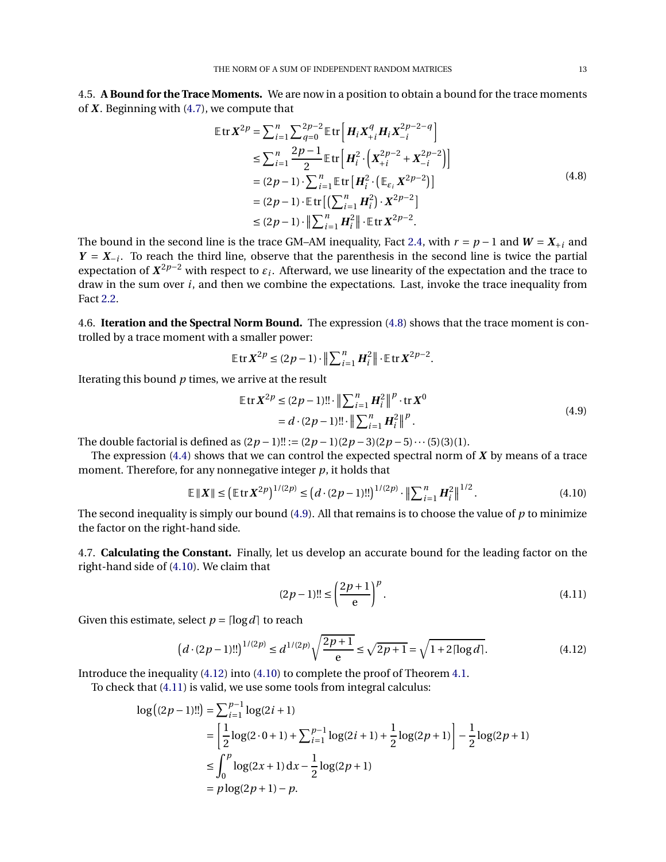4.5. **A Bound for the Trace Moments.** We are now in a position to obtain a bound for the trace moments of *X* . Beginning with [\(4.7\)](#page-11-4), we compute that

<span id="page-12-0"></span>
$$
\mathbb{E} \text{tr} \, X^{2p} = \sum_{i=1}^{n} \sum_{q=0}^{2p-2} \mathbb{E} \text{tr} \left[ H_i X_{+i}^q H_i X_{-i}^{2p-2-q} \right]
$$
\n
$$
\leq \sum_{i=1}^{n} \frac{2p-1}{2} \mathbb{E} \text{tr} \left[ H_i^2 \cdot \left( X_{+i}^{2p-2} + X_{-i}^{2p-2} \right) \right]
$$
\n
$$
= (2p-1) \cdot \sum_{i=1}^{n} \mathbb{E} \text{tr} \left[ H_i^2 \cdot \left( \mathbb{E}_{\epsilon_i} X^{2p-2} \right) \right]
$$
\n
$$
= (2p-1) \cdot \mathbb{E} \text{tr} \left[ \left( \sum_{i=1}^{n} H_i^2 \right) \cdot X^{2p-2} \right]
$$
\n
$$
\leq (2p-1) \cdot \left\| \sum_{i=1}^{n} H_i^2 \right\| \cdot \mathbb{E} \text{tr} \, X^{2p-2}.
$$
\n(4.8)

The bound in the second line is the trace GM–AM inequality, Fact [2.4,](#page-6-3) with  $r = p - 1$  and  $W = X_{+i}$  and  $Y = X_{-i}$ . To reach the third line, observe that the parenthesis in the second line is twice the partial expectation of  $X^{2p-2}$  with respect to  $\varepsilon_i$ . Afterward, we use linearity of the expectation and the trace to draw in the sum over *i*, and then we combine the expectations. Last, invoke the trace inequality from Fact [2.2.](#page-5-7)

4.6. **Iteration and the Spectral Norm Bound.** The expression [\(4.8\)](#page-12-0) shows that the trace moment is controlled by a trace moment with a smaller power:

$$
\mathbb{E} \operatorname{tr} \boldsymbol{X}^{2p} \leq (2p-1) \cdot \left\| \sum_{i=1}^n \boldsymbol{H}_i^2 \right\| \cdot \mathbb{E} \operatorname{tr} \boldsymbol{X}^{2p-2}.
$$

Iterating this bound *p* times, we arrive at the result

<span id="page-12-1"></span>
$$
\mathbb{E} \operatorname{tr} X^{2p} \le (2p - 1)!! \cdot \left\| \sum_{i=1}^{n} H_i^2 \right\|^{p} \cdot \operatorname{tr} X^0
$$
  
=  $d \cdot (2p - 1)!! \cdot \left\| \sum_{i=1}^{n} H_i^2 \right\|^{p}$ . (4.9)

The double factorial is defined as  $(2p-1)!! := (2p-1)(2p-3)(2p-5) \cdots (5)(3)(1)$ .

The expression [\(4.4\)](#page-11-5) shows that we can control the expected spectral norm of *X* by means of a trace moment. Therefore, for any nonnegative integer *p*, it holds that

$$
\mathbb{E} \left\| X \right\| \le \left( \mathbb{E} \left[ \text{tr} \, X^{2p} \right]^{1/(2p)} \le \left( d \cdot (2p - 1)!! \right)^{1/(2p)} \cdot \left\| \sum_{i=1}^{n} H_i^2 \right\|^{1/2} . \tag{4.10}
$$

The second inequality is simply our bound [\(4.9\)](#page-12-1). All that remains is to choose the value of *p* to minimize the factor on the right-hand side.

4.7. **Calculating the Constant.** Finally, let us develop an accurate bound for the leading factor on the right-hand side of [\(4.10\)](#page-12-2). We claim that

<span id="page-12-4"></span><span id="page-12-3"></span><span id="page-12-2"></span>
$$
(2p-1)!! \le \left(\frac{2p+1}{e}\right)^p.
$$
\n(4.11)

Given this estimate, select  $p = \lceil \log d \rceil$  to reach

$$
(d \cdot (2p-1)!!)^{1/(2p)} \le d^{1/(2p)} \sqrt{\frac{2p+1}{e}} \le \sqrt{2p+1} = \sqrt{1+2\lceil \log d \rceil}.
$$
 (4.12)

Introduce the inequality [\(4.12\)](#page-12-3) into [\(4.10\)](#page-12-2) to complete the proof of Theorem [4.1.](#page-10-1)

To check that [\(4.11\)](#page-12-4) is valid, we use some tools from integral calculus:

$$
\begin{aligned} \log\big((2p-1)!!\big) &= \sum_{i=1}^{p-1} \log(2i+1) \\ &= \left[\frac{1}{2}\log(2\cdot 0+1) + \sum_{i=1}^{p-1} \log(2i+1) + \frac{1}{2}\log(2p+1)\right] - \frac{1}{2}\log(2p+1) \\ &\le \int_0^p \log(2x+1) \, dx - \frac{1}{2}\log(2p+1) \\ &= p\log(2p+1) - p. \end{aligned}
$$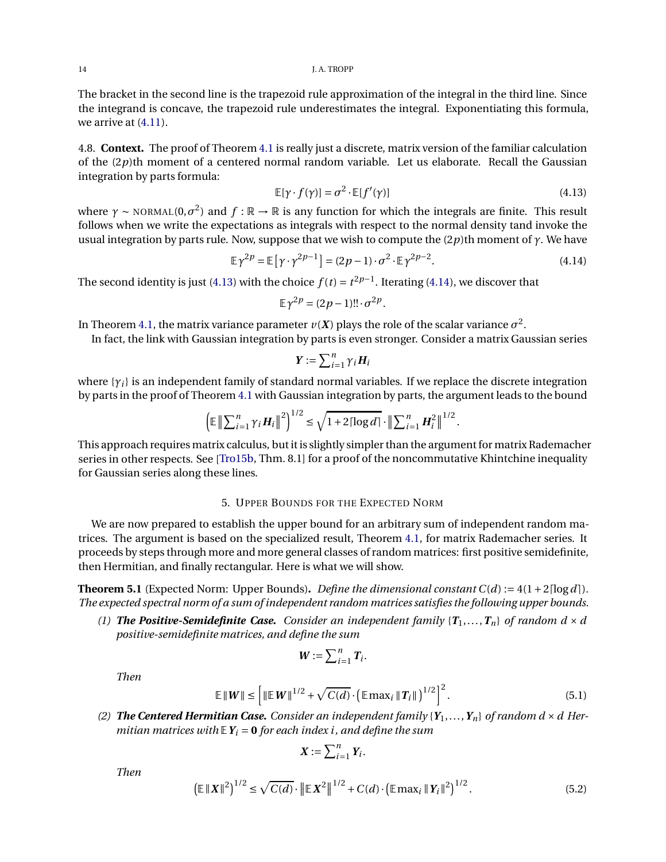The bracket in the second line is the trapezoid rule approximation of the integral in the third line. Since the integrand is concave, the trapezoid rule underestimates the integral. Exponentiating this formula, we arrive at [\(4.11\)](#page-12-4).

<span id="page-13-1"></span>4.8. **Context.** The proof of Theorem [4.1](#page-10-1) is really just a discrete, matrix version of the familiar calculation of the (2*p*)th moment of a centered normal random variable. Let us elaborate. Recall the Gaussian integration by parts formula:

<span id="page-13-2"></span>
$$
\mathbb{E}[\gamma \cdot f(\gamma)] = \sigma^2 \cdot \mathbb{E}[f'(\gamma)] \tag{4.13}
$$

where  $\gamma \sim \text{NORMAL}(0, \sigma^2)$  and  $f : \mathbb{R} \to \mathbb{R}$  is any function for which the integrals are finite. This result follows when we write the expectations as integrals with respect to the normal density tand invoke the usual integration by parts rule. Now, suppose that we wish to compute the (2*p*)th moment of *γ*. We have

$$
\mathbb{E}\gamma^{2p} = \mathbb{E}\left[\gamma \cdot \gamma^{2p-1}\right] = (2p-1)\cdot \sigma^2 \cdot \mathbb{E}\gamma^{2p-2}.
$$
\n(4.14)

The second identity is just [\(4.13\)](#page-13-2) with the choice  $f(t) = t^{2p-1}$ . Iterating [\(4.14\)](#page-13-3), we discover that

$$
\mathbb{E}\gamma^{2p}=(2p-1)!!\cdot\sigma^{2p}.
$$

In Theorem [4.1,](#page-10-1) the matrix variance parameter  $v(\pmb{X})$  plays the role of the scalar variance  $\sigma^2.$ 

In fact, the link with Gaussian integration by parts is even stronger. Consider a matrix Gaussian series

<span id="page-13-3"></span>
$$
\boldsymbol{Y} := \sum_{i=1}^n \gamma_i \boldsymbol{H}_i
$$

where {*γi*} is an independent family of standard normal variables. If we replace the discrete integration by parts in the proof of Theorem [4.1](#page-10-1) with Gaussian integration by parts, the argument leads to the bound

$$
\left(\mathbb{E}\left\|\sum_{i=1}^n \gamma_i \mathbf{H}_i\right\|^2\right)^{1/2} \leq \sqrt{1+2\lceil \log d \rceil} \cdot \left\|\sum_{i=1}^n \mathbf{H}_i^2\right\|^{1/2}.
$$

This approach requires matrix calculus, but it is slightly simpler than the argument for matrix Rademacher series in other respects. See [\[Tro15b,](#page-22-2) Thm. 8.1] for a proof of the noncommutative Khintchine inequality for Gaussian series along these lines.

# 5. UPPER BOUNDS FOR THE EXPECTED NORM

<span id="page-13-0"></span>We are now prepared to establish the upper bound for an arbitrary sum of independent random matrices. The argument is based on the specialized result, Theorem [4.1,](#page-10-1) for matrix Rademacher series. It proceeds by steps through more and more general classes of random matrices: first positive semidefinite, then Hermitian, and finally rectangular. Here is what we will show.

<span id="page-13-4"></span>**Theorem 5.1** (Expected Norm: Upper Bounds). *Define the dimensional constant*  $C(d) := 4(1+2\lceil \log d \rceil)$ . *The expected spectral norm of a sum of independent random matrices satisfies the following upper bounds.*

*(1)* **The Positive-Semidefinite Case.** Consider an independent family  $\{T_1, \ldots, T_n\}$  of random  $d \times d$ *positive-semidefinite matrices, and define the sum*

$$
\boldsymbol{W} := \sum_{i=1}^n \boldsymbol{T}_i.
$$

*Then*

$$
\mathbb{E} \left\|W\right\| \le \left[\left\|\mathbb{E}\,W\right\|^{1/2} + \sqrt{C(d)} \cdot \left(\mathbb{E}\,\max_{i} \|T_{i}\|\right)^{1/2}\right]^{2}.\tag{5.1}
$$

(2) **The Centered Hermitian Case.** Consider an independent family  $\{Y_1, \ldots, Y_n\}$  of random  $d \times d$  Her*mitian matrices with*  $EY_i = 0$  *for each index i, and define the sum* 

<span id="page-13-6"></span><span id="page-13-5"></span>
$$
\boldsymbol{X}:=\sum_{i=1}^n Y_i.
$$

*Then*

$$
\left(\mathbb{E} \left\|X\right\|^2\right)^{1/2} \le \sqrt{C(d)} \cdot \left\|\mathbb{E} \, X^2\right\|^{1/2} + C(d) \cdot \left(\mathbb{E} \max_i \|Y_i\|^2\right)^{1/2}.\tag{5.2}
$$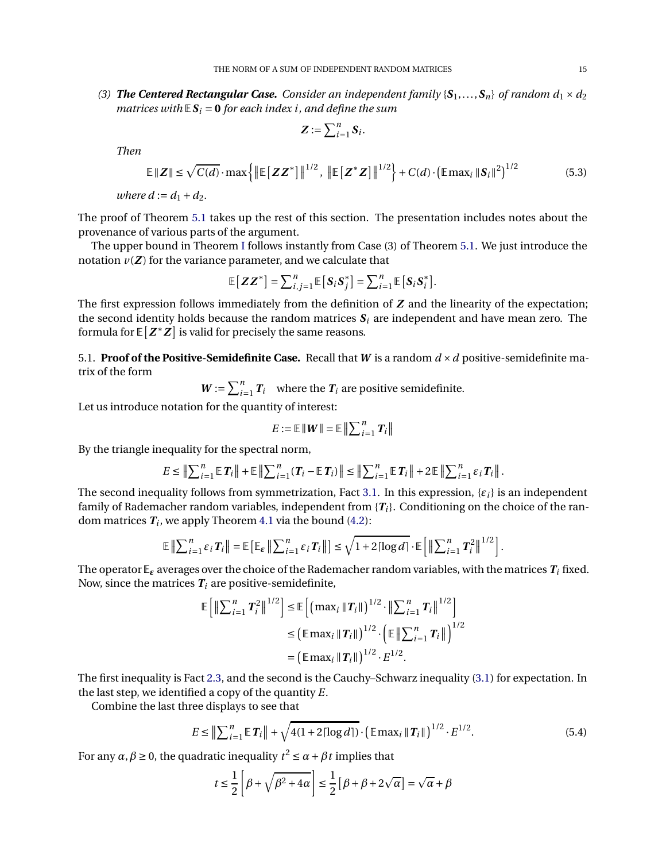(3) **The Centered Rectangular Case.** Consider an independent family  $\{S_1, \ldots, S_n\}$  of random  $d_1 \times d_2$ *matrices with*  $E S_i = 0$  *for each index i, and define the sum* 

<span id="page-14-1"></span>
$$
\boldsymbol{Z} := \sum_{i=1}^n \boldsymbol{S}_i.
$$

*Then*

$$
\mathbb{E}\left\|\mathbf{Z}\right\| \leq \sqrt{C(d)} \cdot \max\left\{\left\|\mathbb{E}\left[\mathbf{Z}\mathbf{Z}^*\right]\right\|^{1/2}, \left\|\mathbb{E}\left[\mathbf{Z}^*\mathbf{Z}\right]\right\|^{1/2}\right\} + C(d) \cdot \left(\mathbb{E}\max_{i} \|\mathbf{S}_i\|^2\right)^{1/2} \tag{5.3}
$$

*where*  $d := d_1 + d_2$ *.* 

The proof of Theorem [5.1](#page-13-4) takes up the rest of this section. The presentation includes notes about the provenance of various parts of the argument.

The upper bound in Theorem [I](#page-1-0) follows instantly from Case (3) of Theorem [5.1.](#page-13-4) We just introduce the notation  $v(Z)$  for the variance parameter, and we calculate that

$$
\mathbb{E}\left[\boldsymbol{Z}\boldsymbol{Z}^*\right] = \sum_{i,j=1}^n \mathbb{E}\left[\boldsymbol{S}_i \boldsymbol{S}_j^*\right] = \sum_{i=1}^n \mathbb{E}\left[\boldsymbol{S}_i \boldsymbol{S}_i^*\right].
$$

The first expression follows immediately from the definition of *Z* and the linearity of the expectation; the second identity holds because the random matrices  $S_i$  are independent and have mean zero. The formula for  $\mathbb{E}[Z^*Z]$  is valid for precisely the same reasons.

5.1. **Proof of the Positive-Semidefinite Case.** Recall that *W* is a random *d* ×*d* positive-semidefinite matrix of the form

 $W := \sum_{i=1}^{n} T_i$  where the  $T_i$  are positive semidefinite.

Let us introduce notation for the quantity of interest:

$$
E := \mathbb{E} \left\| \boldsymbol{W} \right\| = \mathbb{E} \left\| \sum_{i=1}^{n} \boldsymbol{T}_{i} \right\|
$$

By the triangle inequality for the spectral norm,

$$
E \leq \left\| \sum_{i=1}^{n} \mathbb{E} \, T_i \right\| + \mathbb{E} \left\| \sum_{i=1}^{n} (T_i - \mathbb{E} \, T_i) \right\| \leq \left\| \sum_{i=1}^{n} \mathbb{E} \, T_i \right\| + 2 \mathbb{E} \left\| \sum_{i=1}^{n} \varepsilon_i T_i \right\|.
$$

The second inequality follows from symmetrization, Fact [3.1.](#page-9-2) In this expression, {*εi*} is an independent family of Rademacher random variables, independent from  ${T_i}$ . Conditioning on the choice of the random matrices  $\boldsymbol{T_i}$ , we apply Theorem [4.1](#page-10-1) via the bound [\(4.2\)](#page-10-3):

$$
\mathbb{E}\left\|\sum_{i=1}^n \varepsilon_i T_i\right\| = \mathbb{E}\left[\mathbb{E}_{\varepsilon} \left\|\sum_{i=1}^n \varepsilon_i T_i\right\|\right] \leq \sqrt{1+2\lceil \log d \rceil} \cdot \mathbb{E}\left[\left\|\sum_{i=1}^n T_i^2\right\|^{1/2}\right].
$$

The operator  $\mathbb{E}_{\epsilon}$  averages over the choice of the Rademacher random variables, with the matrices  $T_i$  fixed. Now, since the matrices  $T_i$  are positive-semidefinite,

$$
\mathbb{E}\left[\left\|\sum_{i=1}^{n} T_{i}^{2}\right\|^{1/2}\right] \leq \mathbb{E}\left[\left(\max_{i} \|T_{i}\|\right)^{1/2} \cdot \left\|\sum_{i=1}^{n} T_{i}\right\|^{1/2}\right] \leq \left(\mathbb{E}\max_{i} \|T_{i}\|\right)^{1/2} \cdot \left(\mathbb{E}\left\|\sum_{i=1}^{n} T_{i}\right\|\right)^{1/2} \leq \left(\mathbb{E}\max_{i} \|T_{i}\|\right)^{1/2} \cdot E^{1/2}.
$$

The first inequality is Fact [2.3,](#page-6-4) and the second is the Cauchy–Schwarz inequality [\(3.1\)](#page-9-3) for expectation. In the last step, we identified a copy of the quantity *E*.

Combine the last three displays to see that

$$
E \leq \left\| \sum_{i=1}^{n} \mathbb{E} \, T_i \right\| + \sqrt{4(1 + 2\lceil \log d \rceil)} \cdot \left( \mathbb{E} \max_i \| T_i \| \right)^{1/2} \cdot E^{1/2}.
$$

For any  $\alpha$ ,  $\beta \ge 0$ , the quadratic inequality  $t^2 \le \alpha + \beta t$  implies that

<span id="page-14-0"></span>
$$
t \le \frac{1}{2} \left[ \beta + \sqrt{\beta^2 + 4\alpha} \right] \le \frac{1}{2} \left[ \beta + \beta + 2\sqrt{\alpha} \right] = \sqrt{\alpha} + \beta
$$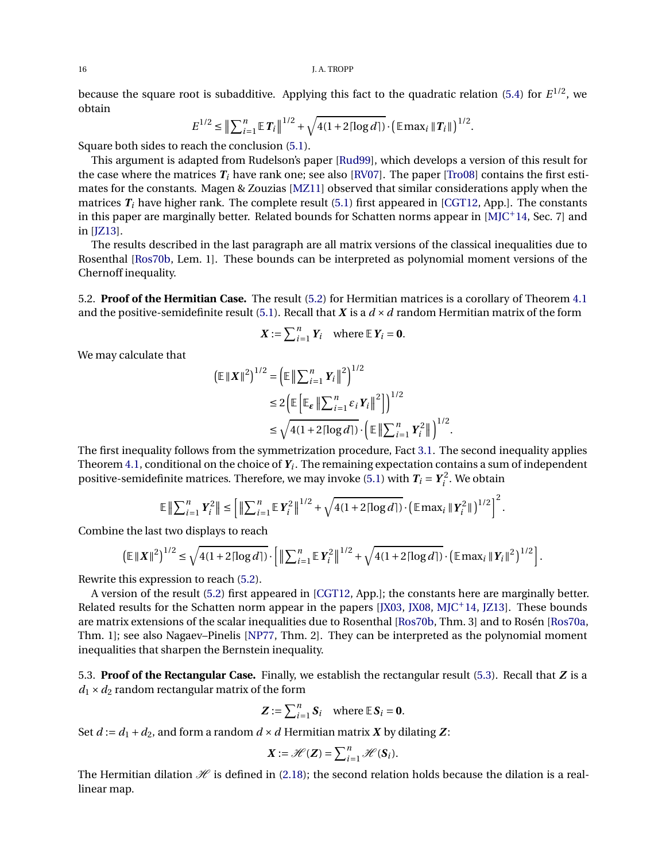because the square root is subadditive. Applying this fact to the quadratic relation [\(5.4\)](#page-14-0) for *E* 1/2, we obtain

$$
E^{1/2} \leq \left\| \sum_{i=1}^n \mathbb{E} \, T_i \right\|^{1/2} + \sqrt{4(1+2\lceil \log d \rceil)} \cdot \left( \mathbb{E} \max_i \| T_i \| \right)^{1/2}.
$$

Square both sides to reach the conclusion [\(5.1\)](#page-13-5).

This argument is adapted from Rudelson's paper [\[Rud99\]](#page-22-3), which develops a version of this result for the case where the matrices  $T_i$  have rank one; see also [\[RV07\]](#page-22-4). The paper [\[Tro08\]](#page-22-5) contains the first estimates for the constants. Magen & Zouzias [\[MZ11\]](#page-21-23) observed that similar considerations apply when the matrices  $T_i$  have higher rank. The complete result [\(5.1\)](#page-13-5) first appeared in [\[CGT12,](#page-21-11) App.]. The constants in this paper are marginally better. Related bounds for Schatten norms appear in  $[M]C+14$ , Sec. 7 and in [\[JZ13\]](#page-21-24).

The results described in the last paragraph are all matrix versions of the classical inequalities due to Rosenthal [\[Ros70b,](#page-21-25) Lem. 1]. These bounds can be interpreted as polynomial moment versions of the Chernoff inequality.

5.2. **Proof of the Hermitian Case.** The result [\(5.2\)](#page-13-6) for Hermitian matrices is a corollary of Theorem [4.1](#page-10-1) and the positive-semidefinite result [\(5.1\)](#page-13-5). Recall that  $X$  is a  $d \times d$  random Hermitian matrix of the form

$$
X := \sum_{i=1}^{n} Y_i \quad \text{where } \mathbb{E} Y_i = \mathbf{0}.
$$

We may calculate that

$$
(\mathbb{E} \|\boldsymbol{X}\|^2)^{1/2} = \left(\mathbb{E} \left\| \sum_{i=1}^n Y_i \right\|^2\right)^{1/2}
$$
  
\n
$$
\leq 2 \left(\mathbb{E} \left[ \mathbb{E}_{\boldsymbol{\varepsilon}} \left\| \sum_{i=1}^n \varepsilon_i Y_i \right\|^2 \right] \right)^{1/2}
$$
  
\n
$$
\leq \sqrt{4(1 + 2\lceil \log d \rceil)} \cdot \left(\mathbb{E} \left\| \sum_{i=1}^n Y_i^2 \right\|^2\right)^{1/2}.
$$

The first inequality follows from the symmetrization procedure, Fact [3.1.](#page-9-2) The second inequality applies Theorem [4.1,](#page-10-1) conditional on the choice of *Y<sup>i</sup>* . The remaining expectation contains a sum of independent positive-semidefinite matrices. Therefore, we may invoke [\(5.1\)](#page-13-5) with  $T_i = Y_i^2$  $i^2$ . We obtain

$$
\mathbb{E}\left\|\sum_{i=1}^n Y_i^2\right\| \le \left[\left\|\sum_{i=1}^n \mathbb{E}\,Y_i^2\right\|^{1/2} + \sqrt{4(1+2\lceil \log d \rceil)}\cdot \left(\mathbb{E}\max_i \|Y_i^2\|\right)^{1/2}\right]^2.
$$

Combine the last two displays to reach

$$
\left(\mathbb{E} \left\| \boldsymbol{X} \right\|^2\right)^{1/2} \leq \sqrt{4(1+2\lceil \log d \rceil)} \cdot \left[\left\| \sum_{i=1}^n \mathbb{E} \, \boldsymbol{Y}_i^2\right\|^{1/2} + \sqrt{4(1+2\lceil \log d \rceil)} \cdot \left(\mathbb{E} \max_i \| \boldsymbol{Y}_i\|^2\right)^{1/2}\right].
$$

Rewrite this expression to reach [\(5.2\)](#page-13-6).

A version of the result [\(5.2\)](#page-13-6) first appeared in [\[CGT12,](#page-21-11) App.]; the constants here are marginally better. Related results for the Schatten norm appear in the papers  $[JX03, JX08, MJC^+14, JZ13]$  $[JX03, JX08, MJC^+14, JZ13]$  $[JX03, JX08, MJC^+14, JZ13]$  $[JX03, JX08, MJC^+14, JZ13]$  $[JX03, JX08, MJC^+14, JZ13]$  $[JX03, JX08, MJC^+14, JZ13]$ . These bounds are matrix extensions of the scalar inequalities due to Rosenthal [\[Ros70b,](#page-21-25) Thm. 3] and to Rosén [\[Ros70a,](#page-21-28) Thm. 1]; see also Nagaev–Pinelis [\[NP77,](#page-21-29) Thm. 2]. They can be interpreted as the polynomial moment inequalities that sharpen the Bernstein inequality.

<span id="page-15-0"></span>5.3. **Proof of the Rectangular Case.** Finally, we establish the rectangular result [\(5.3\)](#page-14-1). Recall that *Z* is a  $d_1 \times d_2$  random rectangular matrix of the form

$$
Z := \sum_{i=1}^{n} S_i \quad \text{where } \mathbb{E} S_i = \mathbf{0}.
$$

Set  $d := d_1 + d_2$ , and form a random  $d \times d$  Hermitian matrix  $X$  by dilating  $Z$ :

$$
X:=\mathscr{H}(Z)=\sum_{i=1}^n\mathscr{H}(S_i).
$$

The Hermitian dilation  $\mathcal H$  is defined in [\(2.18\)](#page-8-3); the second relation holds because the dilation is a reallinear map.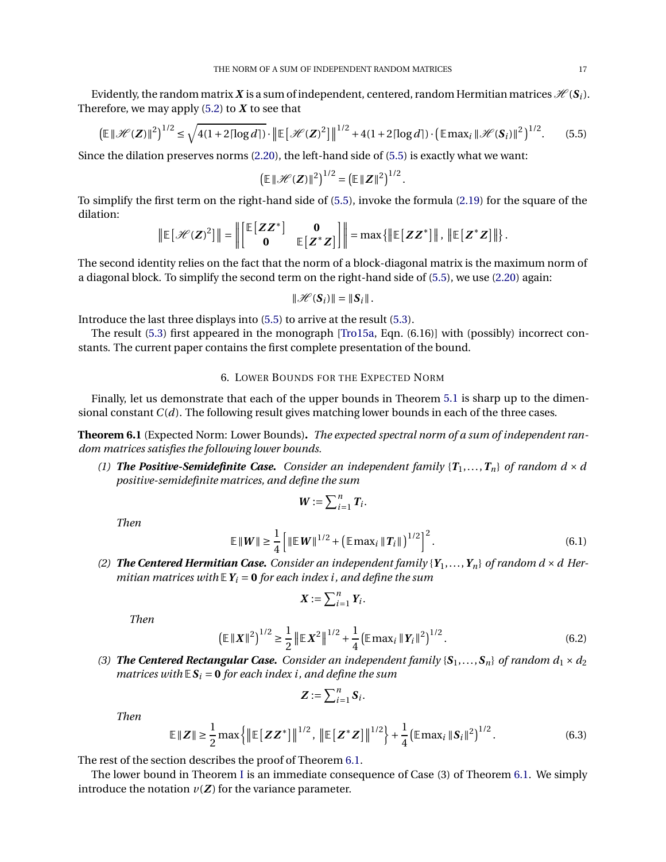Evidently, the random matrix X is a sum of independent, centered, random Hermitian matrices  $\mathcal{H}(\mathbf{S}_i)$ . Therefore, we may apply  $(5.2)$  to  $X$  to see that

$$
\left(\mathbb{E}\left\|\mathcal{H}(Z)\right\|^2\right)^{1/2} \le \sqrt{4(1+2\lceil\log d\rceil)} \cdot \left\|\mathbb{E}\left[\mathcal{H}(Z)^2\right]\right\|^{1/2} + 4(1+2\lceil\log d\rceil) \cdot \left(\mathbb{E}\max_i \|\mathcal{H}(S_i)\|^2\right)^{1/2}.\tag{5.5}
$$

<span id="page-16-1"></span>.

Since the dilation preserves norms [\(2.20\)](#page-8-1), the left-hand side of [\(5.5\)](#page-16-1) is exactly what we want:

$$
\left(\mathbb{E}\left\|\mathcal{H}(Z)\right\|^2\right)^{1/2} = \left(\mathbb{E}\left\|Z\right\|^2\right)^{1/2}
$$

To simplify the first term on the right-hand side of [\(5.5\)](#page-16-1), invoke the formula [\(2.19\)](#page-8-2) for the square of the dilation: ⊥<br>≖a

$$
\|\mathbb{E}\left[\mathscr{H}(Z)^2\right]\| = \left\|\begin{bmatrix} \mathbb{E}\left[ZZ^*\right] & \mathbf{0} \\ \mathbf{0} & \mathbb{E}\left[Z^*Z\right] \end{bmatrix}\right\| = \max\{\|\mathbb{E}\left[ZZ^*\right]\|, \|\mathbb{E}\left[Z^*Z\right]\|\}.
$$

The second identity relies on the fact that the norm of a block-diagonal matrix is the maximum norm of a diagonal block. To simplify the second term on the right-hand side of [\(5.5\)](#page-16-1), we use [\(2.20\)](#page-8-1) again:

$$
\|\mathcal{H}(\boldsymbol{S}_i)\| = \|\boldsymbol{S}_i\|.
$$

Introduce the last three displays into [\(5.5\)](#page-16-1) to arrive at the result [\(5.3\)](#page-14-1).

<span id="page-16-0"></span>The result [\(5.3\)](#page-14-1) first appeared in the monograph [\[Tro15a,](#page-22-1) Eqn. (6.16)] with (possibly) incorrect constants. The current paper contains the first complete presentation of the bound.

## 6. LOWER BOUNDS FOR THE EXPECTED NORM

Finally, let us demonstrate that each of the upper bounds in Theorem [5.1](#page-13-4) is sharp up to the dimensional constant *C*(*d*). The following result gives matching lower bounds in each of the three cases.

<span id="page-16-2"></span>**Theorem 6.1** (Expected Norm: Lower Bounds)**.** *The expected spectral norm of a sum of independent random matrices satisfies the following lower bounds.*

*(1) The Positive-Semidefinite Case. Consider an independent family*  $\{T_1, \ldots, T_n\}$  *of random d*  $\times$  *d positive-semidefinite matrices, and define the sum*

<span id="page-16-3"></span>
$$
\boldsymbol{W}:=\sum_{i=1}^n \boldsymbol{T}_i.
$$

*Then*

$$
\mathbb{E} \left\| W \right\| \ge \frac{1}{4} \left[ \left\| \mathbb{E} \, W \right\|^{1/2} + \left( \mathbb{E} \, \text{max}_{i} \, \left\| \, T_{i} \right\| \right)^{1/2} \right]^{2} . \tag{6.1}
$$

(2) **The Centered Hermitian Case.** Consider an independent family  $\{Y_1, \ldots, Y_n\}$  of random  $d \times d$  Her*mitian matrices with*  $\mathbf{F}Y_i = \mathbf{0}$  *for each index i, and define the sum* 

<span id="page-16-4"></span>
$$
\boldsymbol{X}:=\sum_{i=1}^n Y_i.
$$

*Then*

$$
\left(\mathbb{E} \left\| \boldsymbol{X} \right\|^2\right)^{1/2} \ge \frac{1}{2} \left\| \mathbb{E} \boldsymbol{X}^2 \right\|^{1/2} + \frac{1}{4} \left(\mathbb{E} \max_i \left\| \boldsymbol{Y}_i \right\|^2\right)^{1/2} . \tag{6.2}
$$

(3) **The Centered Rectangular Case.** Consider an independent family  $\{S_1, \ldots, S_n\}$  of random  $d_1 \times d_2$ *matrices with*  $E S_i = 0$  *for each index i, and define the sum* 

<span id="page-16-5"></span>
$$
\boldsymbol{Z} := \sum_{i=1}^n \boldsymbol{S}_i.
$$

*Then*

$$
\mathbb{E} \|Z\| \ge \frac{1}{2} \max \left\{ \left\| \mathbb{E} \left[ Z Z^* \right] \right\|^{1/2}, \left\| \mathbb{E} \left[ Z^* Z \right] \right\|^{1/2} \right\} + \frac{1}{4} \left( \mathbb{E} \max_{i} \|S_i\|^2 \right)^{1/2}.
$$
 (6.3)

The rest of the section describes the proof of Theorem [6.1.](#page-16-2)

The lower bound in Theorem [I](#page-1-0) is an immediate consequence of Case (3) of Theorem [6.1.](#page-16-2) We simply introduce the notation  $v(Z)$  for the variance parameter.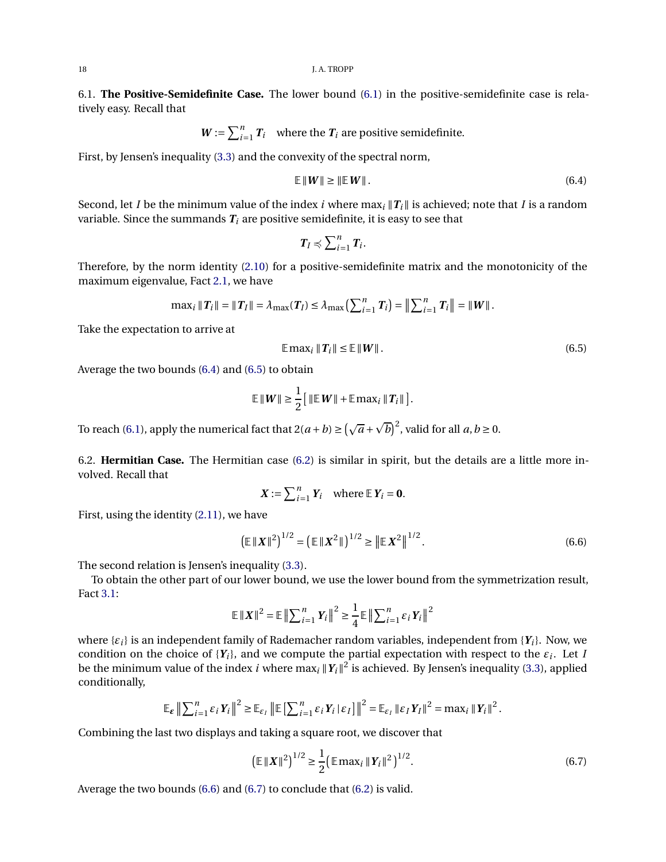6.1. **The Positive-Semidefinite Case.** The lower bound [\(6.1\)](#page-16-3) in the positive-semidefinite case is relatively easy. Recall that

$$
W := \sum_{i=1}^{n} T_i
$$
 where the  $T_i$  are positive semidefinite.

First, by Jensen's inequality [\(3.3\)](#page-9-0) and the convexity of the spectral norm,

<span id="page-17-0"></span>
$$
\mathbb{E} \left\| W \right\| \ge \left\| \mathbb{E} \left[ W \right] \right\|.
$$
\n(6.4)

Second, let *I* be the minimum value of the index *i* where max<sub>*i*</sub>  $\|T_i\|$  is achieved; note that *I* is a random variable. Since the summands  $T_i$  are positive semidefinite, it is easy to see that

$$
T_I \preccurlyeq \sum_{i=1}^n T_i.
$$

Therefore, by the norm identity [\(2.10\)](#page-5-2) for a positive-semidefinite matrix and the monotonicity of the maximum eigenvalue, Fact [2.1,](#page-4-4) we have

$$
\max_i \|T_i\| = \|T_I\| = \lambda_{\max}(T_I) \le \lambda_{\max}\left(\sum_{i=1}^n T_i\right) = \left\|\sum_{i=1}^n T_i\right\| = \|W\|.
$$

Take the expectation to arrive at

<span id="page-17-1"></span>
$$
\mathbb{E} \max_{i} \|T_i\| \le \mathbb{E} \|W\|.
$$
 (6.5)

Average the two bounds [\(6.4\)](#page-17-0) and [\(6.5\)](#page-17-1) to obtain

$$
\mathbb{E} \left\| W \right\| \geq \frac{1}{2} \left[ \left\| \mathbb{E} \, W \right\| + \mathbb{E} \, \max_i \left\| \, T_i \right\| \, \right].
$$

To reach [\(6.1\)](#page-16-3), apply the numerical fact that  $2(a + b) \ge (\sqrt{a} + \sqrt{b})^2$ , valid for all  $a, b \ge 0$ .

6.2. **Hermitian Case.** The Hermitian case [\(6.2\)](#page-16-4) is similar in spirit, but the details are a little more involved. Recall that

<span id="page-17-2"></span>
$$
X := \sum_{i=1}^n Y_i \quad \text{where } \mathbb{E} Y_i = \mathbf{0}.
$$

First, using the identity [\(2.11\)](#page-5-4), we have

$$
\left(\mathbb{E} \left\| \boldsymbol{X} \right\|^2\right)^{1/2} = \left(\mathbb{E} \left\| \boldsymbol{X}^2 \right\|^2\right)^{1/2} \ge \left\| \mathbb{E} \boldsymbol{X}^2 \right\|^{1/2}.
$$
\n(6.6)

The second relation is Jensen's inequality [\(3.3\)](#page-9-0).

To obtain the other part of our lower bound, we use the lower bound from the symmetrization result, Fact [3.1:](#page-9-2)

$$
\mathbb{E} \left\| \boldsymbol{X} \right\|^2 = \mathbb{E} \left\| \sum_{i=1}^n Y_i \right\|^2 \ge \frac{1}{4} \mathbb{E} \left\| \sum_{i=1}^n \varepsilon_i Y_i \right\|^2
$$

where {*εi*} is an independent family of Rademacher random variables, independent from {*Yi*}. Now, we condition on the choice of  ${Y_i}$ , and we compute the partial expectation with respect to the  $\varepsilon_i$ . Let *I* be the minimum value of the index *i* where  $\max_i ||Y_i||^2$  is achieved. By Jensen's inequality [\(3.3\)](#page-9-0), applied conditionally,

$$
\mathbb{E}_{\varepsilon} \left\| \sum_{i=1}^n \varepsilon_i \, Y_i \right\|^2 \ge \mathbb{E}_{\varepsilon_I} \left\| \mathbb{E} \left[ \sum_{i=1}^n \varepsilon_i \, Y_i \, | \, \varepsilon_I \right] \right\|^2 = \mathbb{E}_{\varepsilon_I} \left\| \varepsilon_I \, Y_I \right\|^2 = \max_i \left\| Y_i \right\|^2.
$$

Combining the last two displays and taking a square root, we discover that

<span id="page-17-3"></span>
$$
\left(\mathbb{E} \left\| \boldsymbol{X} \right\|^2\right)^{1/2} \ge \frac{1}{2} \left(\mathbb{E} \max_{i} \left\| \boldsymbol{Y}_i \right\|^2\right)^{1/2}.
$$
\n(6.7)

Average the two bounds [\(6.6\)](#page-17-2) and [\(6.7\)](#page-17-3) to conclude that [\(6.2\)](#page-16-4) is valid.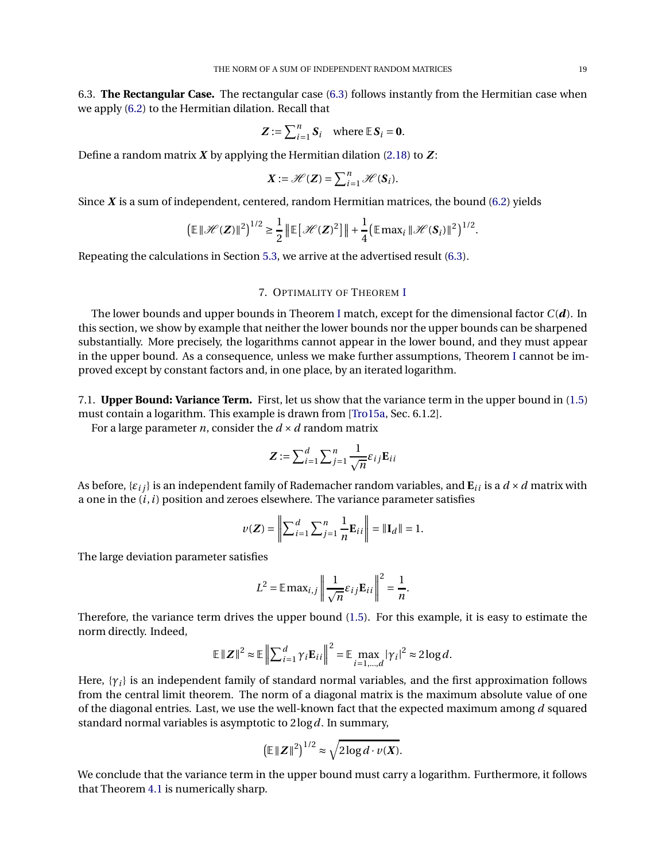6.3. **The Rectangular Case.** The rectangular case [\(6.3\)](#page-16-5) follows instantly from the Hermitian case when we apply [\(6.2\)](#page-16-4) to the Hermitian dilation. Recall that

$$
Z := \sum_{i=1}^n S_i \quad \text{where } \mathbb{E} S_i = 0.
$$

Define a random matrix *X* by applying the Hermitian dilation [\(2.18\)](#page-8-3) to *Z* :

$$
\mathbf{X} := \mathscr{H}(\mathbf{Z}) = \sum_{i=1}^n \mathscr{H}(\mathbf{S}_i).
$$

Since *X* is a sum of independent, centered, random Hermitian matrices, the bound [\(6.2\)](#page-16-4) yields

$$
\left(\mathbb{E}\left\|\mathcal{H}(\boldsymbol{Z})\right\|^2\right)^{1/2} \geq \frac{1}{2}\left\|\mathbb{E}\left[\mathcal{H}(\boldsymbol{Z})^2\right]\right\| + \frac{1}{4}\left(\mathbb{E}\max_i\|\mathcal{H}(\boldsymbol{S}_i)\|^2\right)^{1/2}.
$$

<span id="page-18-0"></span>Repeating the calculations in Section [5.3,](#page-15-0) we arrive at the advertised result [\(6.3\)](#page-16-5).

## 7. OPTIMALITY OF THEOREM [I](#page-1-0)

The lower bounds and upper bounds in Theorem [I](#page-1-0) match, except for the dimensional factor *C*(*d*). In this section, we show by example that neither the lower bounds nor the upper bounds can be sharpened substantially. More precisely, the logarithms cannot appear in the lower bound, and they must appear in the upper bound. As a consequence, unless we make further assumptions, Theorem [I](#page-1-0) cannot be improved except by constant factors and, in one place, by an iterated logarithm.

<span id="page-18-1"></span>7.1. **Upper Bound: Variance Term.** First, let us show that the variance term in the upper bound in [\(1.5\)](#page-1-4) must contain a logarithm. This example is drawn from [\[Tro15a,](#page-22-1) Sec. 6.1.2].

For a large parameter *n*, consider the  $d \times d$  random matrix

$$
Z := \sum_{i=1}^d \sum_{j=1}^n \frac{1}{\sqrt{n}} \varepsilon_{ij} \mathbf{E}_{ij}
$$

As before,  $\{\varepsilon_{ij}\}\$ is an independent family of Rademacher random variables, and  $\mathbf{E}_{ii}$  is a  $d \times d$  matrix with a one in the  $(i, i)$  position and zeroes elsewhere. The variance parameter satisfies

$$
\nu(Z) = \left\| \sum_{i=1}^{d} \sum_{j=1}^{n} \frac{1}{n} \mathbf{E}_{ii} \right\| = \|\mathbf{I}_{d}\| = 1.
$$

The large deviation parameter satisfies

$$
L^{2} = \mathbb{E} \max_{i,j} \left\| \frac{1}{\sqrt{n}} \varepsilon_{ij} \mathbf{E}_{ii} \right\|^{2} = \frac{1}{n}.
$$

Therefore, the variance term drives the upper bound [\(1.5\)](#page-1-4). For this example, it is easy to estimate the norm directly. Indeed,

$$
\mathbb{E} \|Z\|^2 \approx \mathbb{E} \left\| \sum_{i=1}^d \gamma_i \mathbf{E}_{ii} \right\|^2 = \mathbb{E} \max_{i=1,\dots,d} |\gamma_i|^2 \approx 2 \log d.
$$

Here,  $\{\gamma_i\}$  is an independent family of standard normal variables, and the first approximation follows from the central limit theorem. The norm of a diagonal matrix is the maximum absolute value of one of the diagonal entries. Last, we use the well-known fact that the expected maximum among *d* squared standard normal variables is asymptotic to 2log*d*. In summary,

$$
\left(\mathbb{E}\,\|\boldsymbol{Z}\|^2\right)^{1/2} \approx \sqrt{2\log d \cdot v(\boldsymbol{X})}.
$$

We conclude that the variance term in the upper bound must carry a logarithm. Furthermore, it follows that Theorem [4.1](#page-10-1) is numerically sharp.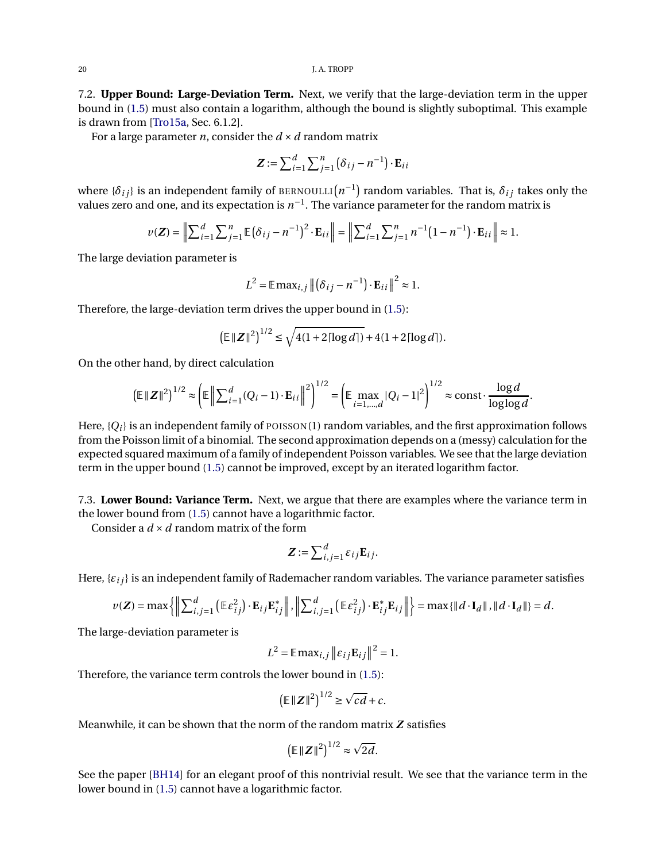20 J.A. TROPP

7.2. **Upper Bound: Large-Deviation Term.** Next, we verify that the large-deviation term in the upper bound in [\(1.5\)](#page-1-4) must also contain a logarithm, although the bound is slightly suboptimal. This example is drawn from [\[Tro15a,](#page-22-1) Sec. 6.1.2].

For a large parameter *n*, consider the  $d \times d$  random matrix

$$
\mathbf{Z} := \sum_{i=1}^{d} \sum_{j=1}^{n} (\delta_{ij} - n^{-1}) \cdot \mathbf{E}_{ii}
$$

where  $\{\delta_{ij}\}$  is an independent family of <code>BERNOULLI</code> $(n^{-1})$  random variables. That is,  $\delta_{ij}$  takes only the values zero and one, and its expectation is  $n^{-1}.$  The variance parameter for the random matrix is

$$
\nu(\mathbf{Z}) = \left\| \sum_{i=1}^{d} \sum_{j=1}^{n} \mathbb{E} \left( \delta_{ij} - n^{-1} \right)^2 \cdot \mathbf{E}_{ii} \right\| = \left\| \sum_{i=1}^{d} \sum_{j=1}^{n} n^{-1} \left( 1 - n^{-1} \right) \cdot \mathbf{E}_{ii} \right\| \approx 1.
$$

The large deviation parameter is

$$
L^{2} = \mathbb{E} \max_{i,j} \left\| \left( \delta_{ij} - n^{-1} \right) \cdot \mathbf{E}_{ii} \right\|^{2} \approx 1.
$$

Therefore, the large-deviation term drives the upper bound in [\(1.5\)](#page-1-4):

$$
\left(\mathbb{E}\left\|Z\right\|^2\right)^{1/2} \le \sqrt{4(1+2\lceil \log d \rceil)} + 4(1+2\lceil \log d \rceil).
$$

On the other hand, by direct calculation

$$
\left(\mathbb{E} \|Z\|^2\right)^{1/2} \approx \left(\mathbb{E} \left\|\sum_{i=1}^d (Q_i - 1) \cdot \mathbf{E}_{ii}\right\|^2\right)^{1/2} = \left(\mathbb{E} \max_{i=1,\dots,d} |Q_i - 1|^2\right)^{1/2} \approx \text{const} \cdot \frac{\log d}{\log \log d}.
$$

Here,  $\{Q_i\}$  is an independent family of POISSON(1) random variables, and the first approximation follows from the Poisson limit of a binomial. The second approximation depends on a (messy) calculation for the expected squared maximum of a family of independent Poisson variables. We see that the large deviation term in the upper bound [\(1.5\)](#page-1-4) cannot be improved, except by an iterated logarithm factor.

7.3. **Lower Bound: Variance Term.** Next, we argue that there are examples where the variance term in the lower bound from [\(1.5\)](#page-1-4) cannot have a logarithmic factor.

Consider a *d* ×*d* random matrix of the form

$$
\mathbf{Z} := \sum_{i,j=1}^d \varepsilon_{ij} \mathbf{E}_{ij}.
$$

Here, {*εi j*} is an independent family of Rademacher random variables. The variance parameter satisfies

$$
\nu(\mathbf{Z}) = \max \left\{ \left\| \sum_{i,j=1}^d \left( \mathbb{E} \varepsilon_{ij}^2 \right) \cdot \mathbf{E}_{ij} \mathbf{E}_{ij}^* \right\|, \left\| \sum_{i,j=1}^d \left( \mathbb{E} \varepsilon_{ij}^2 \right) \cdot \mathbf{E}_{ij}^* \mathbf{E}_{ij} \right\| \right\} = \max \{ \| d \cdot \mathbf{I}_d \|, \| d \cdot \mathbf{I}_d \| \} = d.
$$

The large-deviation parameter is

$$
L^2 = \mathbb{E} \max_{i,j} ||\varepsilon_{ij} \mathbf{E}_{ij}||^2 = 1.
$$

Therefore, the variance term controls the lower bound in [\(1.5\)](#page-1-4):

$$
\left(\mathbb{E}\left\|Z\right\|^2\right)^{1/2} \ge \sqrt{cd} + c.
$$

Meanwhile, it can be shown that the norm of the random matrix *Z* satisfies

$$
\left(\mathbb{E}\,\|\boldsymbol{Z}\|^2\right)^{1/2}\approx\sqrt{2d}.
$$

See the paper [\[BH14\]](#page-20-7) for an elegant proof of this nontrivial result. We see that the variance term in the lower bound in [\(1.5\)](#page-1-4) cannot have a logarithmic factor.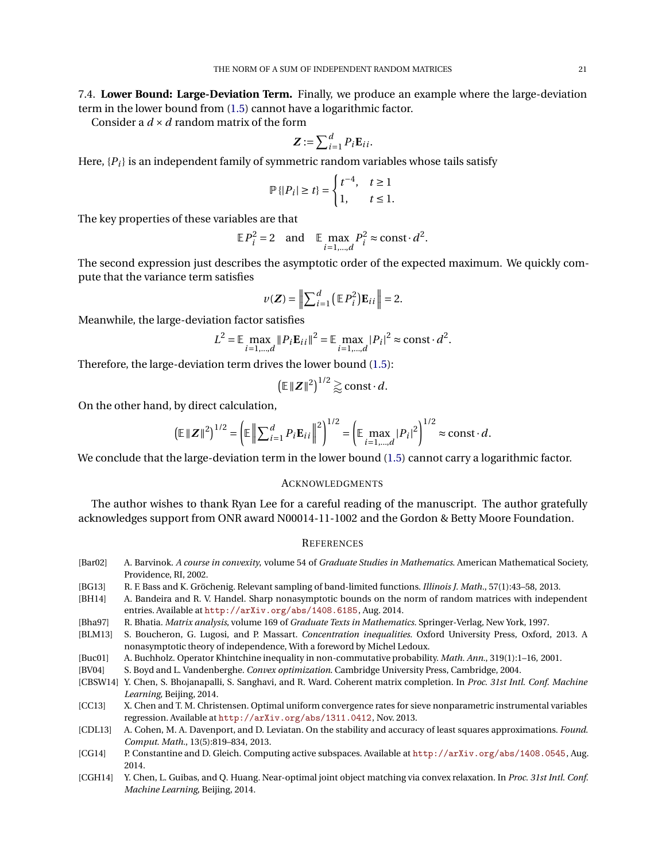Consider a *d* ×*d* random matrix of the form

$$
\mathbf{Z} := \sum_{i=1}^d P_i \mathbf{E}_{ii}.
$$

Here,  $\{P_i\}$  is an independent family of symmetric random variables whose tails satisfy

$$
\mathbb{P}\{|P_i| \ge t\} = \begin{cases} t^{-4}, & t \ge 1 \\ 1, & t \le 1. \end{cases}
$$

The key properties of these variables are that

$$
\mathbb{E} P_i^2 = 2 \quad \text{and} \quad \mathbb{E} \max_{i=1,\dots,d} P_i^2 \approx \text{const} \cdot d^2.
$$

The second expression just describes the asymptotic order of the expected maximum. We quickly compute that the variance term satisfies

$$
\nu(\mathbf{Z}) = \left\| \sum_{i=1}^{d} \left( \mathbb{E} P_i^2 \right) \mathbf{E}_{ii} \right\| = 2.
$$

Meanwhile, the large-deviation factor satisfies

$$
L^{2} = \mathbb{E} \max_{i=1,\dots,d} \| P_{i} \mathbf{E}_{ii} \|^{2} = \mathbb{E} \max_{i=1,\dots,d} |P_{i}|^{2} \approx \text{const} \cdot d^{2}.
$$

Therefore, the large-deviation term drives the lower bound [\(1.5\)](#page-1-4):

$$
\left(\mathbb{E}\|\mathbf{Z}\|^2\right)^{1/2}\gtrapprox \text{const}\cdot d.
$$

On the other hand, by direct calculation,

$$
\left(\mathbb{E} \|Z\|^2\right)^{1/2} = \left(\mathbb{E} \left\|\sum_{i=1}^d P_i \mathbf{E}_{ii}\right\|^2\right)^{1/2} = \left(\mathbb{E} \max_{i=1,\dots,d} |P_i|^2\right)^{1/2} \approx \text{const} \cdot d.
$$

We conclude that the large-deviation term in the lower bound [\(1.5\)](#page-1-4) cannot carry a logarithmic factor.

#### **ACKNOWLEDGMENTS**

The author wishes to thank Ryan Lee for a careful reading of the manuscript. The author gratefully acknowledges support from ONR award N00014-11-1002 and the Gordon & Betty Moore Foundation.

#### **REFERENCES**

- <span id="page-20-10"></span>[Bar02] A. Barvinok. *A course in convexity*, volume 54 of *Graduate Studies in Mathematics*. American Mathematical Society, Providence, RI, 2002.
- <span id="page-20-3"></span>[BG13] R. F. Bass and K. Gröchenig. Relevant sampling of band-limited functions. *Illinois J. Math.*, 57(1):43–58, 2013.
- <span id="page-20-7"></span>[BH14] A. Bandeira and R. V. Handel. Sharp nonasymptotic bounds on the norm of random matrices with independent entries. Available at <http://arXiv.org/abs/1408.6185>, Aug. 2014.
- <span id="page-20-9"></span>[Bha97] R. Bhatia. *Matrix analysis*, volume 169 of *Graduate Texts in Mathematics*. Springer-Verlag, New York, 1997.
- <span id="page-20-6"></span>[BLM13] S. Boucheron, G. Lugosi, and P. Massart. *Concentration inequalities*. Oxford University Press, Oxford, 2013. A nonasymptotic theory of independence, With a foreword by Michel Ledoux.
- <span id="page-20-8"></span>[Buc01] A. Buchholz. Operator Khintchine inequality in non-commutative probability. *Math. Ann.*, 319(1):1–16, 2001.
- <span id="page-20-11"></span>[BV04] S. Boyd and L. Vandenberghe. *Convex optimization*. Cambridge University Press, Cambridge, 2004.
- <span id="page-20-4"></span>[CBSW14] Y. Chen, S. Bhojanapalli, S. Sanghavi, and R. Ward. Coherent matrix completion. In *Proc. 31st Intl. Conf. Machine Learning*, Beijing, 2014.
- <span id="page-20-1"></span>[CC13] X. Chen and T. M. Christensen. Optimal uniform convergence rates for sieve nonparametric instrumental variables regression. Available at <http://arXiv.org/abs/1311.0412>, Nov. 2013.
- <span id="page-20-2"></span>[CDL13] A. Cohen, M. A. Davenport, and D. Leviatan. On the stability and accuracy of least squares approximations. *Found. Comput. Math.*, 13(5):819–834, 2013.
- <span id="page-20-0"></span>[CG14] P. Constantine and D. Gleich. Computing active subspaces. Available at <http://arXiv.org/abs/1408.0545>, Aug. 2014.
- <span id="page-20-5"></span>[CGH14] Y. Chen, L. Guibas, and Q. Huang. Near-optimal joint object matching via convex relaxation. In *Proc. 31st Intl. Conf. Machine Learning*, Beijing, 2014.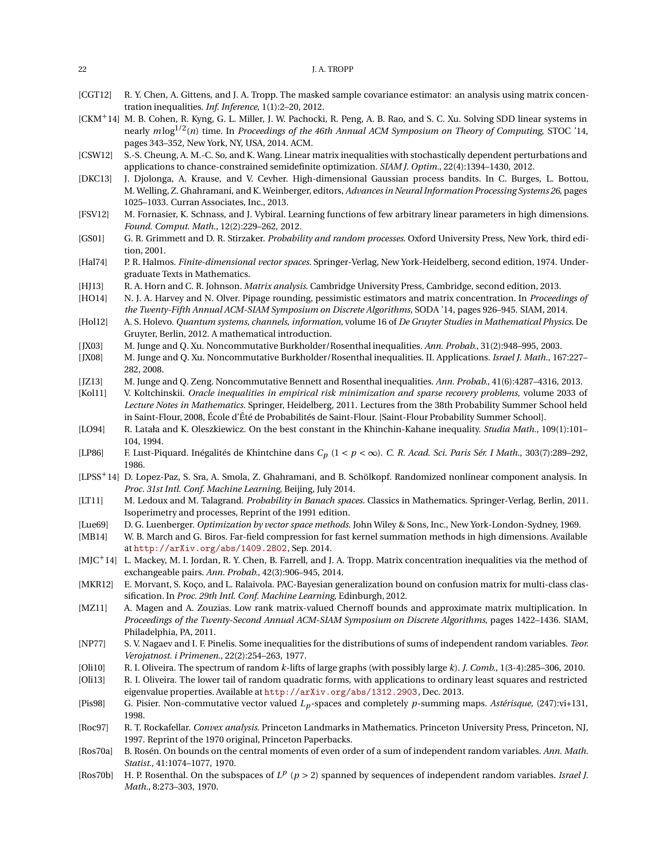<span id="page-21-11"></span>

| [CGT12] R. Y. Chen, A. Gittens, and J. A. Tropp. The masked sample covariance estimator: an analysis using matrix concen- |
|---------------------------------------------------------------------------------------------------------------------------|
| tration inequalities. <i>Inf. Inference</i> , 1(1):2-20, 2012.                                                            |

- <span id="page-21-9"></span>[CKM<sup>+</sup>14] M. B. Cohen, R. Kyng, G. L. Miller, J. W. Pachocki, R. Peng, A. B. Rao, and S. C. Xu. Solving SDD linear systems in nearly *m* log1/2(*n*) time. In *Proceedings of the 46th Annual ACM Symposium on Theory of Computing*, STOC '14, pages 343–352, New York, NY, USA, 2014. ACM.
- <span id="page-21-6"></span>[CSW12] S.-S. Cheung, A. M.-C. So, and K. Wang. Linear matrix inequalities with stochastically dependent perturbations and applications to chance-constrained semidefinite optimization. *SIAM J. Optim.*, 22(4):1394–1430, 2012.
- <span id="page-21-2"></span>[DKC13] J. Djolonga, A. Krause, and V. Cevher. High-dimensional Gaussian process bandits. In C. Burges, L. Bottou, M. Welling, Z. Ghahramani, and K. Weinberger, editors, *Advances in Neural Information Processing Systems 26*, pages 1025–1033. Curran Associates, Inc., 2013.
- <span id="page-21-4"></span>[FSV12] M. Fornasier, K. Schnass, and J. Vybiral. Learning functions of few arbitrary linear parameters in high dimensions. *Found. Comput. Math.*, 12(2):229–262, 2012.
- <span id="page-21-22"></span>[GS01] G. R. Grimmett and D. R. Stirzaker. *Probability and random processes*. Oxford University Press, New York, third edition, 2001.
- <span id="page-21-18"></span>[Hal74] P. R. Halmos. *Finite-dimensional vector spaces*. Springer-Verlag, New York-Heidelberg, second edition, 1974. Undergraduate Texts in Mathematics.
- <span id="page-21-19"></span>[HJ13] R. A. Horn and C. R. Johnson. *Matrix analysis*. Cambridge University Press, Cambridge, second edition, 2013.
- <span id="page-21-8"></span>[HO14] N. J. A. Harvey and N. Olver. Pipage rounding, pessimistic estimators and matrix concentration. In *Proceedings of the Twenty-Fifth Annual ACM-SIAM Symposium on Discrete Algorithms*, SODA '14, pages 926–945. SIAM, 2014.
- <span id="page-21-7"></span>[Hol12] A. S. Holevo. *Quantum systems, channels, information*, volume 16 of *De Gruyter Studies in Mathematical Physics*. De Gruyter, Berlin, 2012. A mathematical introduction.
- <span id="page-21-26"></span>[ JX03] M. Junge and Q. Xu. Noncommutative Burkholder/Rosenthal inequalities. *Ann. Probab.*, 31(2):948–995, 2003.
- <span id="page-21-27"></span>[ JX08] M. Junge and Q. Xu. Noncommutative Burkholder/Rosenthal inequalities. II. Applications. *Israel J. Math.*, 167:227– 282, 2008.
- <span id="page-21-24"></span>[ JZ13] M. Junge and Q. Zeng. Noncommutative Bennett and Rosenthal inequalities. *Ann. Probab.*, 41(6):4287–4316, 2013.
- <span id="page-21-1"></span>[Kol11] V. Koltchinskii. *Oracle inequalities in empirical risk minimization and sparse recovery problems*, volume 2033 of *Lecture Notes in Mathematics*. Springer, Heidelberg, 2011. Lectures from the 38th Probability Summer School held in Saint-Flour, 2008, École d'Été de Probabilités de Saint-Flour. [Saint-Flour Probability Summer School].
- <span id="page-21-13"></span>[LO94] R. Latała and K. Oleszkiewicz. On the best constant in the Khinchin-Kahane inequality. *Studia Math.*, 109(1):101– 104, 1994.
- <span id="page-21-15"></span>[LP86] F. Lust-Piquard. Inégalités de Khintchine dans *C<sup>p</sup>* (1 < *p* < ∞). *C. R. Acad. Sci. Paris Sér. I Math.*, 303(7):289–292, 1986.
- <span id="page-21-3"></span>[LPSS+14] D. Lopez-Paz, S. Sra, A. Smola, Z. Ghahramani, and B. Schölkopf. Randomized nonlinear component analysis. In *Proc. 31st Intl. Conf. Machine Learning*, Beijing, July 2014.
- <span id="page-21-17"></span>[LT11] M. Ledoux and M. Talagrand. *Probability in Banach spaces*. Classics in Mathematics. Springer-Verlag, Berlin, 2011. Isoperimetry and processes, Reprint of the 1991 edition.
- <span id="page-21-20"></span>[Lue69] D. G. Luenberger. *Optimization by vector space methods*. John Wiley & Sons, Inc., New York-London-Sydney, 1969.
- <span id="page-21-0"></span>[MB14] W. B. March and G. Biros. Far-field compression for fast kernel summation methods in high dimensions. Available at <http://arXiv.org/abs/1409.2802>, Sep. 2014.
- <span id="page-21-12"></span>[MJC+14] L. Mackey, M. I. Jordan, R. Y. Chen, B. Farrell, and J. A. Tropp. Matrix concentration inequalities via the method of exchangeable pairs. *Ann. Probab.*, 42(3):906–945, 2014.
- <span id="page-21-5"></span>[MKR12] E. Morvant, S. Koço, and L. Ralaivola. PAC-Bayesian generalization bound on confusion matrix for multi-class classification. In *Proc. 29th Intl. Conf. Machine Learning*, Edinburgh, 2012.
- <span id="page-21-23"></span>[MZ11] A. Magen and A. Zouzias. Low rank matrix-valued Chernoff bounds and approximate matrix multiplication. In *Proceedings of the Twenty-Second Annual ACM-SIAM Symposium on Discrete Algorithms*, pages 1422–1436. SIAM, Philadelphia, PA, 2011.
- <span id="page-21-29"></span>[NP77] S. V. Nagaev and I. F. Pinelis. Some inequalities for the distributions of sums of independent random variables. *Teor. Verojatnost. i Primenen.*, 22(2):254–263, 1977.
- <span id="page-21-10"></span>[Oli10] R. I. Oliveira. The spectrum of random *k*-lifts of large graphs (with possibly large *k*). *J. Comb.*, 1(3-4):285–306, 2010.
- <span id="page-21-14"></span>[Oli13] R. I. Oliveira. The lower tail of random quadratic forms, with applications to ordinary least squares and restricted eigenvalue properties. Available at <http://arXiv.org/abs/1312.2903>, Dec. 2013.
- <span id="page-21-16"></span>[Pis98] G. Pisier. Non-commutative vector valued *Lp*-spaces and completely *p*-summing maps. *Astérisque*, (247):vi+131, 1998.
- <span id="page-21-21"></span>[Roc97] R. T. Rockafellar. *Convex analysis*. Princeton Landmarks in Mathematics. Princeton University Press, Princeton, NJ, 1997. Reprint of the 1970 original, Princeton Paperbacks.
- <span id="page-21-28"></span>[Ros70a] B. Rosén. On bounds on the central moments of even order of a sum of independent random variables. *Ann. Math. Statist.*, 41:1074–1077, 1970.
- <span id="page-21-25"></span>[Ros70b] H. P. Rosenthal. On the subspaces of *L p* (*p* > 2) spanned by sequences of independent random variables. *Israel J. Math.*, 8:273–303, 1970.